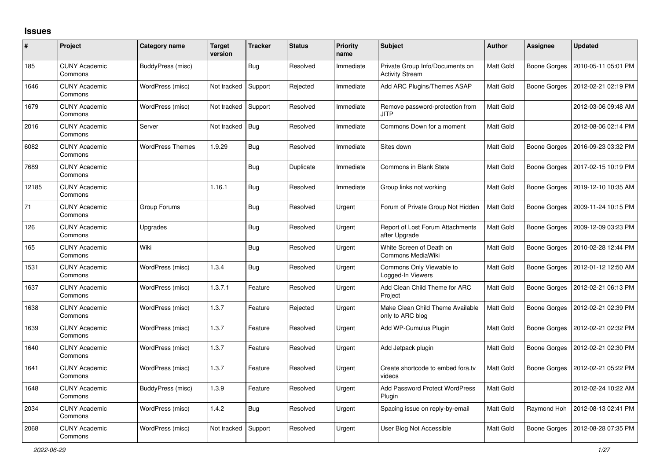## **Issues**

| #     | Project                         | Category name           | <b>Target</b><br>version | <b>Tracker</b> | <b>Status</b> | <b>Priority</b><br>name | <b>Subject</b>                                            | <b>Author</b>    | Assignee            | <b>Updated</b>      |
|-------|---------------------------------|-------------------------|--------------------------|----------------|---------------|-------------------------|-----------------------------------------------------------|------------------|---------------------|---------------------|
| 185   | <b>CUNY Academic</b><br>Commons | BuddyPress (misc)       |                          | <b>Bug</b>     | Resolved      | Immediate               | Private Group Info/Documents on<br><b>Activity Stream</b> | <b>Matt Gold</b> | Boone Gorges        | 2010-05-11 05:01 PM |
| 1646  | <b>CUNY Academic</b><br>Commons | WordPress (misc)        | Not tracked              | Support        | Rejected      | Immediate               | Add ARC Plugins/Themes ASAP                               | <b>Matt Gold</b> | Boone Gorges        | 2012-02-21 02:19 PM |
| 1679  | <b>CUNY Academic</b><br>Commons | WordPress (misc)        | Not tracked              | Support        | Resolved      | Immediate               | Remove password-protection from<br>JITP                   | Matt Gold        |                     | 2012-03-06 09:48 AM |
| 2016  | <b>CUNY Academic</b><br>Commons | Server                  | Not tracked              | <b>Bug</b>     | Resolved      | Immediate               | Commons Down for a moment                                 | Matt Gold        |                     | 2012-08-06 02:14 PM |
| 6082  | <b>CUNY Academic</b><br>Commons | <b>WordPress Themes</b> | 1.9.29                   | Bug            | Resolved      | Immediate               | Sites down                                                | Matt Gold        | Boone Gorges        | 2016-09-23 03:32 PM |
| 7689  | <b>CUNY Academic</b><br>Commons |                         |                          | <b>Bug</b>     | Duplicate     | Immediate               | Commons in Blank State                                    | Matt Gold        | <b>Boone Gorges</b> | 2017-02-15 10:19 PM |
| 12185 | <b>CUNY Academic</b><br>Commons |                         | 1.16.1                   | <b>Bug</b>     | Resolved      | Immediate               | Group links not working                                   | Matt Gold        | Boone Gorges        | 2019-12-10 10:35 AM |
| 71    | <b>CUNY Academic</b><br>Commons | Group Forums            |                          | Bug            | Resolved      | Urgent                  | Forum of Private Group Not Hidden                         | <b>Matt Gold</b> | Boone Gorges        | 2009-11-24 10:15 PM |
| 126   | <b>CUNY Academic</b><br>Commons | Upgrades                |                          | <b>Bug</b>     | Resolved      | Urgent                  | Report of Lost Forum Attachments<br>after Upgrade         | Matt Gold        | Boone Gorges        | 2009-12-09 03:23 PM |
| 165   | <b>CUNY Academic</b><br>Commons | Wiki                    |                          | Bug            | Resolved      | Urgent                  | White Screen of Death on<br>Commons MediaWiki             | Matt Gold        | Boone Gorges        | 2010-02-28 12:44 PM |
| 1531  | <b>CUNY Academic</b><br>Commons | WordPress (misc)        | 1.3.4                    | Bug            | Resolved      | Urgent                  | Commons Only Viewable to<br>Logged-In Viewers             | <b>Matt Gold</b> | Boone Gorges        | 2012-01-12 12:50 AM |
| 1637  | <b>CUNY Academic</b><br>Commons | WordPress (misc)        | 1.3.7.1                  | Feature        | Resolved      | Urgent                  | Add Clean Child Theme for ARC<br>Project                  | Matt Gold        | Boone Gorges        | 2012-02-21 06:13 PM |
| 1638  | <b>CUNY Academic</b><br>Commons | WordPress (misc)        | 1.3.7                    | Feature        | Rejected      | Urgent                  | Make Clean Child Theme Available<br>only to ARC blog      | Matt Gold        | Boone Gorges        | 2012-02-21 02:39 PM |
| 1639  | <b>CUNY Academic</b><br>Commons | WordPress (misc)        | 1.3.7                    | Feature        | Resolved      | Urgent                  | Add WP-Cumulus Plugin                                     | Matt Gold        | Boone Gorges        | 2012-02-21 02:32 PM |
| 1640  | <b>CUNY Academic</b><br>Commons | WordPress (misc)        | 1.3.7                    | Feature        | Resolved      | Urgent                  | Add Jetpack plugin                                        | Matt Gold        | Boone Gorges        | 2012-02-21 02:30 PM |
| 1641  | <b>CUNY Academic</b><br>Commons | WordPress (misc)        | 1.3.7                    | Feature        | Resolved      | Urgent                  | Create shortcode to embed fora.tv<br>videos               | <b>Matt Gold</b> | Boone Gorges        | 2012-02-21 05:22 PM |
| 1648  | <b>CUNY Academic</b><br>Commons | BuddyPress (misc)       | 1.3.9                    | Feature        | Resolved      | Urgent                  | <b>Add Password Protect WordPress</b><br>Plugin           | Matt Gold        |                     | 2012-02-24 10:22 AM |
| 2034  | <b>CUNY Academic</b><br>Commons | WordPress (misc)        | 1.4.2                    | <b>Bug</b>     | Resolved      | Urgent                  | Spacing issue on reply-by-email                           | Matt Gold        | Raymond Hoh         | 2012-08-13 02:41 PM |
| 2068  | <b>CUNY Academic</b><br>Commons | WordPress (misc)        | Not tracked              | Support        | Resolved      | Urgent                  | User Blog Not Accessible                                  | Matt Gold        | Boone Gorges        | 2012-08-28 07:35 PM |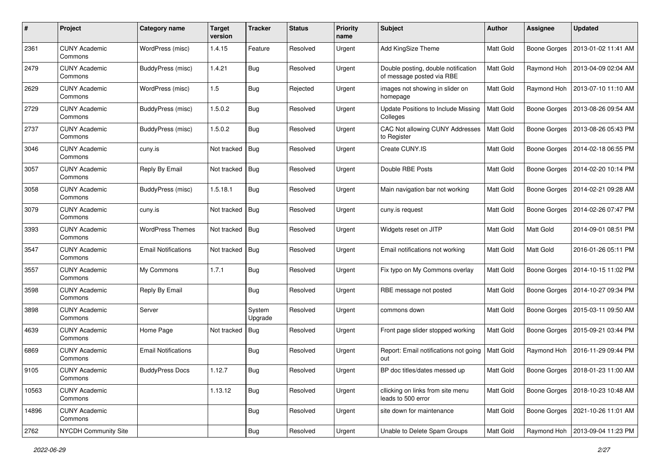| #     | Project                         | Category name              | <b>Target</b><br>version | <b>Tracker</b>    | <b>Status</b> | <b>Priority</b><br>name | <b>Subject</b>                                                   | Author           | <b>Assignee</b>     | <b>Updated</b>                     |
|-------|---------------------------------|----------------------------|--------------------------|-------------------|---------------|-------------------------|------------------------------------------------------------------|------------------|---------------------|------------------------------------|
| 2361  | <b>CUNY Academic</b><br>Commons | WordPress (misc)           | 1.4.15                   | Feature           | Resolved      | Urgent                  | Add KingSize Theme                                               | Matt Gold        | <b>Boone Gorges</b> | 2013-01-02 11:41 AM                |
| 2479  | <b>CUNY Academic</b><br>Commons | BuddyPress (misc)          | 1.4.21                   | Bug               | Resolved      | Urgent                  | Double posting, double notification<br>of message posted via RBE | Matt Gold        | Raymond Hoh         | 2013-04-09 02:04 AM                |
| 2629  | <b>CUNY Academic</b><br>Commons | WordPress (misc)           | 1.5                      | Bug               | Rejected      | Urgent                  | images not showing in slider on<br>homepage                      | Matt Gold        | Raymond Hoh         | 2013-07-10 11:10 AM                |
| 2729  | <b>CUNY Academic</b><br>Commons | <b>BuddyPress (misc)</b>   | 1.5.0.2                  | <b>Bug</b>        | Resolved      | Urgent                  | Update Positions to Include Missing<br>Colleges                  | Matt Gold        | <b>Boone Gorges</b> | 2013-08-26 09:54 AM                |
| 2737  | <b>CUNY Academic</b><br>Commons | <b>BuddyPress (misc)</b>   | 1.5.0.2                  | Bug               | Resolved      | Urgent                  | CAC Not allowing CUNY Addresses<br>to Register                   | Matt Gold        | <b>Boone Gorges</b> | 2013-08-26 05:43 PM                |
| 3046  | <b>CUNY Academic</b><br>Commons | cuny.is                    | Not tracked              | Bug               | Resolved      | Urgent                  | Create CUNY.IS                                                   | Matt Gold        | Boone Gorges        | 2014-02-18 06:55 PM                |
| 3057  | <b>CUNY Academic</b><br>Commons | Reply By Email             | Not tracked              | Bug               | Resolved      | Urgent                  | Double RBE Posts                                                 | Matt Gold        | <b>Boone Gorges</b> | 2014-02-20 10:14 PM                |
| 3058  | <b>CUNY Academic</b><br>Commons | BuddyPress (misc)          | 1.5.18.1                 | <b>Bug</b>        | Resolved      | Urgent                  | Main navigation bar not working                                  | Matt Gold        | <b>Boone Gorges</b> | 2014-02-21 09:28 AM                |
| 3079  | <b>CUNY Academic</b><br>Commons | cuny.is                    | Not tracked              | Bug               | Resolved      | Urgent                  | cuny.is request                                                  | Matt Gold        | <b>Boone Gorges</b> | 2014-02-26 07:47 PM                |
| 3393  | <b>CUNY Academic</b><br>Commons | <b>WordPress Themes</b>    | Not tracked              | Bug               | Resolved      | Urgent                  | Widgets reset on JITP                                            | <b>Matt Gold</b> | Matt Gold           | 2014-09-01 08:51 PM                |
| 3547  | <b>CUNY Academic</b><br>Commons | <b>Email Notifications</b> | Not tracked              | Bug               | Resolved      | Urgent                  | Email notifications not working                                  | Matt Gold        | Matt Gold           | 2016-01-26 05:11 PM                |
| 3557  | <b>CUNY Academic</b><br>Commons | My Commons                 | 1.7.1                    | Bug               | Resolved      | Urgent                  | Fix typo on My Commons overlay                                   | Matt Gold        | <b>Boone Gorges</b> | 2014-10-15 11:02 PM                |
| 3598  | <b>CUNY Academic</b><br>Commons | Reply By Email             |                          | Bug               | Resolved      | Urgent                  | RBE message not posted                                           | Matt Gold        | <b>Boone Gorges</b> | 2014-10-27 09:34 PM                |
| 3898  | <b>CUNY Academic</b><br>Commons | Server                     |                          | System<br>Upgrade | Resolved      | Urgent                  | commons down                                                     | <b>Matt Gold</b> | <b>Boone Gorges</b> | 2015-03-11 09:50 AM                |
| 4639  | <b>CUNY Academic</b><br>Commons | Home Page                  | Not tracked              | Bug               | Resolved      | Urgent                  | Front page slider stopped working                                | Matt Gold        | <b>Boone Gorges</b> | 2015-09-21 03:44 PM                |
| 6869  | <b>CUNY Academic</b><br>Commons | <b>Email Notifications</b> |                          | Bug               | Resolved      | Urgent                  | Report: Email notifications not going<br>out                     | <b>Matt Gold</b> | Raymond Hoh         | 2016-11-29 09:44 PM                |
| 9105  | <b>CUNY Academic</b><br>Commons | <b>BuddyPress Docs</b>     | 1.12.7                   | Bug               | Resolved      | Urgent                  | BP doc titles/dates messed up                                    | Matt Gold        |                     | Boone Gorges   2018-01-23 11:00 AM |
| 10563 | <b>CUNY Academic</b><br>Commons |                            | 1.13.12                  | <b>Bug</b>        | Resolved      | Urgent                  | cllicking on links from site menu<br>leads to 500 error          | Matt Gold        | <b>Boone Gorges</b> | 2018-10-23 10:48 AM                |
| 14896 | <b>CUNY Academic</b><br>Commons |                            |                          | <b>Bug</b>        | Resolved      | Urgent                  | site down for maintenance                                        | Matt Gold        | <b>Boone Gorges</b> | 2021-10-26 11:01 AM                |
| 2762  | NYCDH Community Site            |                            |                          | Bug               | Resolved      | Urgent                  | Unable to Delete Spam Groups                                     | Matt Gold        | Raymond Hoh         | 2013-09-04 11:23 PM                |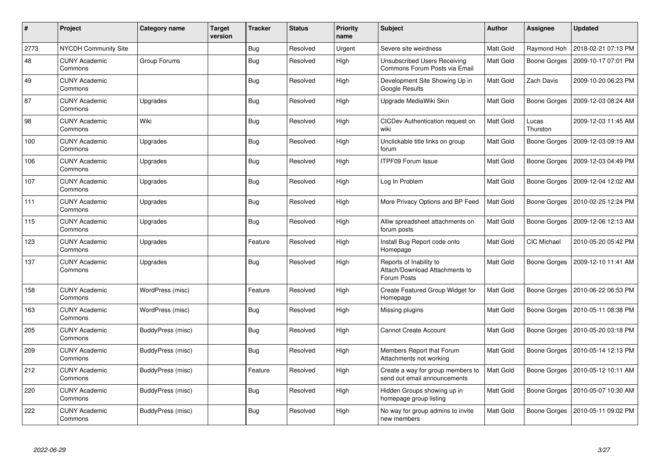| $\#$ | Project                         | Category name            | Target<br>version | <b>Tracker</b> | <b>Status</b> | <b>Priority</b><br>name | <b>Subject</b>                                                           | <b>Author</b>    | Assignee            | <b>Updated</b>      |
|------|---------------------------------|--------------------------|-------------------|----------------|---------------|-------------------------|--------------------------------------------------------------------------|------------------|---------------------|---------------------|
| 2773 | NYCDH Community Site            |                          |                   | <b>Bug</b>     | Resolved      | Urgent                  | Severe site weirdness                                                    | Matt Gold        | Raymond Hoh         | 2018-02-21 07:13 PM |
| 48   | <b>CUNY Academic</b><br>Commons | Group Forums             |                   | <b>Bug</b>     | Resolved      | High                    | Unsubscribed Users Receiving<br>Commons Forum Posts via Email            | Matt Gold        | Boone Gorges        | 2009-10-17 07:01 PM |
| 49   | <b>CUNY Academic</b><br>Commons |                          |                   | <b>Bug</b>     | Resolved      | High                    | Development Site Showing Up in<br>Google Results                         | Matt Gold        | Zach Davis          | 2009-10-20 06:23 PM |
| 87   | <b>CUNY Academic</b><br>Commons | Upgrades                 |                   | Bug            | Resolved      | High                    | Upgrade MediaWiki Skin                                                   | Matt Gold        | Boone Gorges        | 2009-12-03 08:24 AM |
| 98   | <b>CUNY Academic</b><br>Commons | Wiki                     |                   | Bug            | Resolved      | High                    | CICDev Authentication request on<br>wiki                                 | Matt Gold        | Lucas<br>Thurston   | 2009-12-03 11:45 AM |
| 100  | <b>CUNY Academic</b><br>Commons | Upgrades                 |                   | <b>Bug</b>     | Resolved      | High                    | Unclickable title links on group<br>forum                                | Matt Gold        | Boone Gorges        | 2009-12-03 09:19 AM |
| 106  | <b>CUNY Academic</b><br>Commons | Upgrades                 |                   | <b>Bug</b>     | Resolved      | High                    | <b>ITPF09 Forum Issue</b>                                                | Matt Gold        | Boone Gorges        | 2009-12-03 04:49 PM |
| 107  | <b>CUNY Academic</b><br>Commons | Upgrades                 |                   | Bug            | Resolved      | High                    | Log In Problem                                                           | Matt Gold        | Boone Gorges        | 2009-12-04 12:02 AM |
| 111  | <b>CUNY Academic</b><br>Commons | Upgrades                 |                   | <b>Bug</b>     | Resolved      | High                    | More Privacy Options and BP Feed                                         | <b>Matt Gold</b> | Boone Gorges        | 2010-02-25 12:24 PM |
| 115  | <b>CUNY Academic</b><br>Commons | Upgrades                 |                   | <b>Bug</b>     | Resolved      | High                    | Alliw spreadsheet attachments on<br>forum posts                          | Matt Gold        | Boone Gorges        | 2009-12-06 12:13 AM |
| 123  | <b>CUNY Academic</b><br>Commons | Upgrades                 |                   | Feature        | Resolved      | High                    | Install Bug Report code onto<br>Homepage                                 | <b>Matt Gold</b> | CIC Michael         | 2010-05-20 05:42 PM |
| 137  | <b>CUNY Academic</b><br>Commons | Upgrades                 |                   | <b>Bug</b>     | Resolved      | High                    | Reports of Inability to<br>Attach/Download Attachments to<br>Forum Posts | Matt Gold        | Boone Gorges        | 2009-12-10 11:41 AM |
| 158  | <b>CUNY Academic</b><br>Commons | WordPress (misc)         |                   | Feature        | Resolved      | High                    | Create Featured Group Widget for<br>Homepage                             | Matt Gold        | Boone Gorges        | 2010-06-22 06:53 PM |
| 163  | <b>CUNY Academic</b><br>Commons | WordPress (misc)         |                   | <b>Bug</b>     | Resolved      | High                    | Missing plugins                                                          | Matt Gold        | Boone Gorges        | 2010-05-11 08:38 PM |
| 205  | <b>CUNY Academic</b><br>Commons | <b>BuddyPress (misc)</b> |                   | <b>Bug</b>     | Resolved      | High                    | <b>Cannot Create Account</b>                                             | Matt Gold        | Boone Gorges        | 2010-05-20 03:18 PM |
| 209  | <b>CUNY Academic</b><br>Commons | <b>BuddyPress (misc)</b> |                   | <b>Bug</b>     | Resolved      | High                    | Members Report that Forum<br>Attachments not working                     | Matt Gold        | <b>Boone Gorges</b> | 2010-05-14 12:13 PM |
| 212  | <b>CUNY Academic</b><br>Commons | BuddyPress (misc)        |                   | Feature        | Resolved      | High                    | Create a way for group members to<br>send out email announcements        | Matt Gold        | Boone Gorges        | 2010-05-12 10:11 AM |
| 220  | <b>CUNY Academic</b><br>Commons | <b>BuddyPress (misc)</b> |                   | <b>Bug</b>     | Resolved      | High                    | Hidden Groups showing up in<br>homepage group listing                    | Matt Gold        | Boone Gorges        | 2010-05-07 10:30 AM |
| 222  | <b>CUNY Academic</b><br>Commons | BuddyPress (misc)        |                   | <b>Bug</b>     | Resolved      | High                    | No way for group admins to invite<br>new members                         | Matt Gold        | <b>Boone Gorges</b> | 2010-05-11 09:02 PM |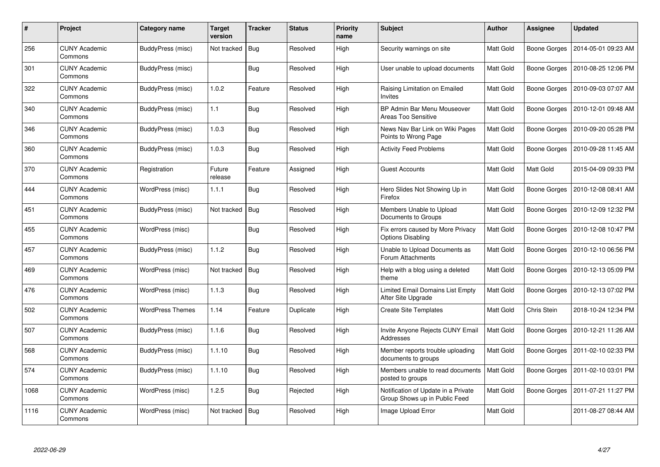| #    | Project                         | Category name           | Target<br>version | <b>Tracker</b> | <b>Status</b> | <b>Priority</b><br>name | <b>Subject</b>                                                       | <b>Author</b>    | Assignee            | <b>Updated</b>      |
|------|---------------------------------|-------------------------|-------------------|----------------|---------------|-------------------------|----------------------------------------------------------------------|------------------|---------------------|---------------------|
| 256  | <b>CUNY Academic</b><br>Commons | BuddyPress (misc)       | Not tracked       | Bug            | Resolved      | High                    | Security warnings on site                                            | <b>Matt Gold</b> | <b>Boone Gorges</b> | 2014-05-01 09:23 AM |
| 301  | <b>CUNY Academic</b><br>Commons | BuddyPress (misc)       |                   | Bug            | Resolved      | High                    | User unable to upload documents                                      | Matt Gold        | Boone Gorges        | 2010-08-25 12:06 PM |
| 322  | <b>CUNY Academic</b><br>Commons | BuddyPress (misc)       | 1.0.2             | Feature        | Resolved      | High                    | Raising Limitation on Emailed<br>Invites                             | Matt Gold        | <b>Boone Gorges</b> | 2010-09-03 07:07 AM |
| 340  | <b>CUNY Academic</b><br>Commons | BuddyPress (misc)       | 1.1               | <b>Bug</b>     | Resolved      | High                    | BP Admin Bar Menu Mouseover<br>Areas Too Sensitive                   | Matt Gold        | <b>Boone Gorges</b> | 2010-12-01 09:48 AM |
| 346  | <b>CUNY Academic</b><br>Commons | BuddyPress (misc)       | 1.0.3             | Bug            | Resolved      | High                    | News Nav Bar Link on Wiki Pages<br>Points to Wrong Page              | Matt Gold        | <b>Boone Gorges</b> | 2010-09-20 05:28 PM |
| 360  | <b>CUNY Academic</b><br>Commons | BuddyPress (misc)       | 1.0.3             | <b>Bug</b>     | Resolved      | High                    | <b>Activity Feed Problems</b>                                        | Matt Gold        | Boone Gorges        | 2010-09-28 11:45 AM |
| 370  | <b>CUNY Academic</b><br>Commons | Registration            | Future<br>release | Feature        | Assigned      | High                    | <b>Guest Accounts</b>                                                | Matt Gold        | Matt Gold           | 2015-04-09 09:33 PM |
| 444  | <b>CUNY Academic</b><br>Commons | WordPress (misc)        | 1.1.1             | Bug            | Resolved      | High                    | Hero Slides Not Showing Up in<br>Firefox                             | Matt Gold        | Boone Gorges        | 2010-12-08 08:41 AM |
| 451  | <b>CUNY Academic</b><br>Commons | BuddyPress (misc)       | Not tracked       | <b>Bug</b>     | Resolved      | High                    | Members Unable to Upload<br>Documents to Groups                      | Matt Gold        | <b>Boone Gorges</b> | 2010-12-09 12:32 PM |
| 455  | <b>CUNY Academic</b><br>Commons | WordPress (misc)        |                   | <b>Bug</b>     | Resolved      | High                    | Fix errors caused by More Privacy<br><b>Options Disabling</b>        | Matt Gold        | Boone Gorges        | 2010-12-08 10:47 PM |
| 457  | <b>CUNY Academic</b><br>Commons | BuddyPress (misc)       | 1.1.2             | Bug            | Resolved      | High                    | Unable to Upload Documents as<br>Forum Attachments                   | Matt Gold        | Boone Gorges        | 2010-12-10 06:56 PM |
| 469  | <b>CUNY Academic</b><br>Commons | WordPress (misc)        | Not tracked       | Bug            | Resolved      | High                    | Help with a blog using a deleted<br>theme                            | Matt Gold        | <b>Boone Gorges</b> | 2010-12-13 05:09 PM |
| 476  | <b>CUNY Academic</b><br>Commons | WordPress (misc)        | 1.1.3             | <b>Bug</b>     | Resolved      | High                    | Limited Email Domains List Empty<br>After Site Upgrade               | Matt Gold        | Boone Gorges        | 2010-12-13 07:02 PM |
| 502  | <b>CUNY Academic</b><br>Commons | <b>WordPress Themes</b> | 1.14              | Feature        | Duplicate     | High                    | <b>Create Site Templates</b>                                         | Matt Gold        | Chris Stein         | 2018-10-24 12:34 PM |
| 507  | <b>CUNY Academic</b><br>Commons | BuddyPress (misc)       | 1.1.6             | <b>Bug</b>     | Resolved      | High                    | Invite Anyone Rejects CUNY Email<br>Addresses                        | Matt Gold        | Boone Gorges        | 2010-12-21 11:26 AM |
| 568  | <b>CUNY Academic</b><br>Commons | BuddyPress (misc)       | 1.1.10            | <b>Bug</b>     | Resolved      | High                    | Member reports trouble uploading<br>documents to groups              | Matt Gold        | Boone Gorges        | 2011-02-10 02:33 PM |
| 574  | <b>CUNY Academic</b><br>Commons | BuddyPress (misc)       | 1.1.10            | Bug            | Resolved      | High                    | Members unable to read documents<br>posted to groups                 | Matt Gold        | Boone Gorges        | 2011-02-10 03:01 PM |
| 1068 | <b>CUNY Academic</b><br>Commons | WordPress (misc)        | 1.2.5             | <b>Bug</b>     | Rejected      | High                    | Notification of Update in a Private<br>Group Shows up in Public Feed | Matt Gold        | Boone Gorges        | 2011-07-21 11:27 PM |
| 1116 | <b>CUNY Academic</b><br>Commons | WordPress (misc)        | Not tracked       | Bug            | Resolved      | High                    | Image Upload Error                                                   | Matt Gold        |                     | 2011-08-27 08:44 AM |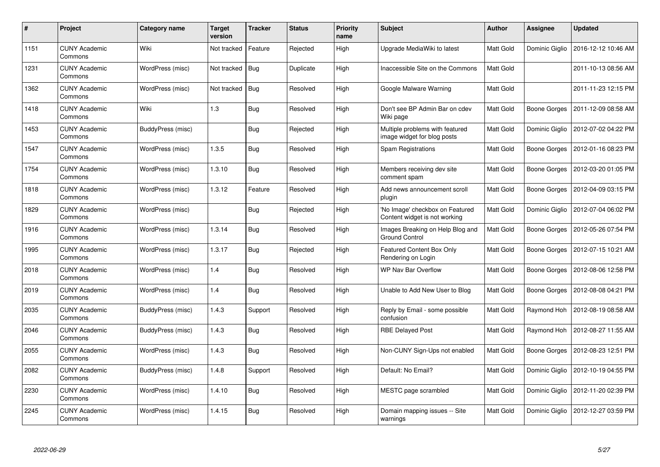| #    | Project                         | <b>Category name</b> | <b>Target</b><br>version | <b>Tracker</b> | <b>Status</b> | <b>Priority</b><br>name | <b>Subject</b>                                                   | <b>Author</b>    | Assignee       | <b>Updated</b>                     |
|------|---------------------------------|----------------------|--------------------------|----------------|---------------|-------------------------|------------------------------------------------------------------|------------------|----------------|------------------------------------|
| 1151 | <b>CUNY Academic</b><br>Commons | Wiki                 | Not tracked              | Feature        | Rejected      | High                    | Upgrade MediaWiki to latest                                      | <b>Matt Gold</b> | Dominic Giglio | 2016-12-12 10:46 AM                |
| 1231 | <b>CUNY Academic</b><br>Commons | WordPress (misc)     | Not tracked              | Bug            | Duplicate     | High                    | Inaccessible Site on the Commons                                 | Matt Gold        |                | 2011-10-13 08:56 AM                |
| 1362 | <b>CUNY Academic</b><br>Commons | WordPress (misc)     | Not tracked              | <b>Bug</b>     | Resolved      | High                    | Google Malware Warning                                           | Matt Gold        |                | 2011-11-23 12:15 PM                |
| 1418 | <b>CUNY Academic</b><br>Commons | Wiki                 | 1.3                      | Bug            | Resolved      | High                    | Don't see BP Admin Bar on cdev<br>Wiki page                      | Matt Gold        | Boone Gorges   | 2011-12-09 08:58 AM                |
| 1453 | <b>CUNY Academic</b><br>Commons | BuddyPress (misc)    |                          | Bug            | Rejected      | High                    | Multiple problems with featured<br>image widget for blog posts   | <b>Matt Gold</b> | Dominic Giglio | 2012-07-02 04:22 PM                |
| 1547 | <b>CUNY Academic</b><br>Commons | WordPress (misc)     | 1.3.5                    | <b>Bug</b>     | Resolved      | High                    | Spam Registrations                                               | Matt Gold        | Boone Gorges   | 2012-01-16 08:23 PM                |
| 1754 | <b>CUNY Academic</b><br>Commons | WordPress (misc)     | 1.3.10                   | Bug            | Resolved      | High                    | Members receiving dev site<br>comment spam                       | <b>Matt Gold</b> | Boone Gorges   | 2012-03-20 01:05 PM                |
| 1818 | <b>CUNY Academic</b><br>Commons | WordPress (misc)     | 1.3.12                   | Feature        | Resolved      | High                    | Add news announcement scroll<br>plugin                           | Matt Gold        | Boone Gorges   | 2012-04-09 03:15 PM                |
| 1829 | <b>CUNY Academic</b><br>Commons | WordPress (misc)     |                          | Bug            | Rejected      | High                    | 'No Image' checkbox on Featured<br>Content widget is not working | Matt Gold        | Dominic Giglio | 2012-07-04 06:02 PM                |
| 1916 | <b>CUNY Academic</b><br>Commons | WordPress (misc)     | 1.3.14                   | <b>Bug</b>     | Resolved      | High                    | Images Breaking on Help Blog and<br><b>Ground Control</b>        | Matt Gold        | Boone Gorges   | 2012-05-26 07:54 PM                |
| 1995 | <b>CUNY Academic</b><br>Commons | WordPress (misc)     | 1.3.17                   | Bug            | Rejected      | High                    | Featured Content Box Only<br>Rendering on Login                  | Matt Gold        | Boone Gorges   | 2012-07-15 10:21 AM                |
| 2018 | <b>CUNY Academic</b><br>Commons | WordPress (misc)     | 1.4                      | <b>Bug</b>     | Resolved      | High                    | WP Nav Bar Overflow                                              | <b>Matt Gold</b> | Boone Gorges   | 2012-08-06 12:58 PM                |
| 2019 | <b>CUNY Academic</b><br>Commons | WordPress (misc)     | 1.4                      | <b>Bug</b>     | Resolved      | High                    | Unable to Add New User to Blog                                   | Matt Gold        | Boone Gorges   | 2012-08-08 04:21 PM                |
| 2035 | <b>CUNY Academic</b><br>Commons | BuddyPress (misc)    | 1.4.3                    | Support        | Resolved      | High                    | Reply by Email - some possible<br>confusion                      | Matt Gold        | Raymond Hoh    | 2012-08-19 08:58 AM                |
| 2046 | <b>CUNY Academic</b><br>Commons | BuddyPress (misc)    | 1.4.3                    | Bug            | Resolved      | High                    | <b>RBE Delayed Post</b>                                          | Matt Gold        | Raymond Hoh    | 2012-08-27 11:55 AM                |
| 2055 | <b>CUNY Academic</b><br>Commons | WordPress (misc)     | 1.4.3                    | Bug            | Resolved      | High                    | Non-CUNY Sign-Ups not enabled                                    | Matt Gold        |                | Boone Gorges   2012-08-23 12:51 PM |
| 2082 | <b>CUNY Academic</b><br>Commons | BuddyPress (misc)    | 1.4.8                    | Support        | Resolved      | High                    | Default: No Email?                                               | Matt Gold        | Dominic Giglio | 2012-10-19 04:55 PM                |
| 2230 | <b>CUNY Academic</b><br>Commons | WordPress (misc)     | 1.4.10                   | <b>Bug</b>     | Resolved      | High                    | MESTC page scrambled                                             | Matt Gold        | Dominic Giglio | 2012-11-20 02:39 PM                |
| 2245 | <b>CUNY Academic</b><br>Commons | WordPress (misc)     | 1.4.15                   | Bug            | Resolved      | High                    | Domain mapping issues -- Site<br>warnings                        | Matt Gold        | Dominic Giglio | 2012-12-27 03:59 PM                |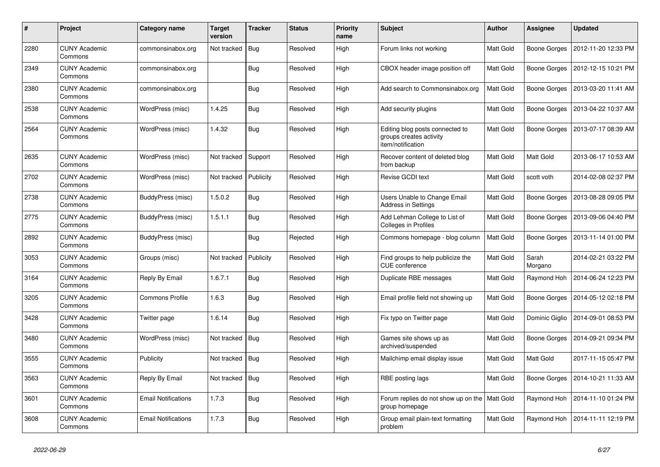| #    | Project                         | Category name              | <b>Target</b><br>version | <b>Tracker</b> | <b>Status</b> | <b>Priority</b><br>name | Subject                                                                         | <b>Author</b>    | Assignee         | <b>Updated</b>      |
|------|---------------------------------|----------------------------|--------------------------|----------------|---------------|-------------------------|---------------------------------------------------------------------------------|------------------|------------------|---------------------|
| 2280 | <b>CUNY Academic</b><br>Commons | commonsinabox.org          | Not tracked              | Bug            | Resolved      | High                    | Forum links not working                                                         | <b>Matt Gold</b> | Boone Gorges     | 2012-11-20 12:33 PM |
| 2349 | <b>CUNY Academic</b><br>Commons | commonsinabox.org          |                          | <b>Bug</b>     | Resolved      | High                    | CBOX header image position off                                                  | <b>Matt Gold</b> | Boone Gorges     | 2012-12-15 10:21 PM |
| 2380 | <b>CUNY Academic</b><br>Commons | commonsinabox.org          |                          | <b>Bug</b>     | Resolved      | High                    | Add search to Commonsinabox.org                                                 | Matt Gold        | Boone Gorges     | 2013-03-20 11:41 AM |
| 2538 | <b>CUNY Academic</b><br>Commons | WordPress (misc)           | 1.4.25                   | Bug            | Resolved      | High                    | Add security plugins                                                            | <b>Matt Gold</b> | Boone Gorges     | 2013-04-22 10:37 AM |
| 2564 | <b>CUNY Academic</b><br>Commons | WordPress (misc)           | 1.4.32                   | Bug            | Resolved      | High                    | Editing blog posts connected to<br>groups creates activity<br>item/notification | Matt Gold        | Boone Gorges     | 2013-07-17 08:39 AM |
| 2635 | <b>CUNY Academic</b><br>Commons | WordPress (misc)           | Not tracked              | Support        | Resolved      | High                    | Recover content of deleted blog<br>from backup                                  | <b>Matt Gold</b> | <b>Matt Gold</b> | 2013-06-17 10:53 AM |
| 2702 | <b>CUNY Academic</b><br>Commons | WordPress (misc)           | Not tracked              | Publicity      | Resolved      | High                    | Revise GCDI text                                                                | <b>Matt Gold</b> | scott voth       | 2014-02-08 02:37 PM |
| 2738 | <b>CUNY Academic</b><br>Commons | BuddyPress (misc)          | 1.5.0.2                  | <b>Bug</b>     | Resolved      | High                    | Users Unable to Change Email<br><b>Address in Settings</b>                      | Matt Gold        | Boone Gorges     | 2013-08-28 09:05 PM |
| 2775 | <b>CUNY Academic</b><br>Commons | BuddyPress (misc)          | 1.5.1.1                  | <b>Bug</b>     | Resolved      | High                    | Add Lehman College to List of<br>Colleges in Profiles                           | <b>Matt Gold</b> | Boone Gorges     | 2013-09-06 04:40 PM |
| 2892 | <b>CUNY Academic</b><br>Commons | BuddyPress (misc)          |                          | <b>Bug</b>     | Rejected      | High                    | Commons homepage - blog column                                                  | Matt Gold        | Boone Gorges     | 2013-11-14 01:00 PM |
| 3053 | <b>CUNY Academic</b><br>Commons | Groups (misc)              | Not tracked              | Publicity      | Resolved      | High                    | Find groups to help publicize the<br>CUE conference                             | Matt Gold        | Sarah<br>Morgano | 2014-02-21 03:22 PM |
| 3164 | <b>CUNY Academic</b><br>Commons | Reply By Email             | 1.6.7.1                  | Bug            | Resolved      | High                    | Duplicate RBE messages                                                          | <b>Matt Gold</b> | Raymond Hoh      | 2014-06-24 12:23 PM |
| 3205 | <b>CUNY Academic</b><br>Commons | <b>Commons Profile</b>     | 1.6.3                    | <b>Bug</b>     | Resolved      | High                    | Email profile field not showing up                                              | Matt Gold        | Boone Gorges     | 2014-05-12 02:18 PM |
| 3428 | <b>CUNY Academic</b><br>Commons | Twitter page               | 1.6.14                   | <b>Bug</b>     | Resolved      | High                    | Fix typo on Twitter page                                                        | <b>Matt Gold</b> | Dominic Giglio   | 2014-09-01 08:53 PM |
| 3480 | <b>CUNY Academic</b><br>Commons | WordPress (misc)           | Not tracked              | Bug            | Resolved      | High                    | Games site shows up as<br>archived/suspended                                    | <b>Matt Gold</b> | Boone Gorges     | 2014-09-21 09:34 PM |
| 3555 | <b>CUNY Academic</b><br>Commons | Publicity                  | Not tracked              | Bug            | Resolved      | High                    | Mailchimp email display issue                                                   | Matt Gold        | Matt Gold        | 2017-11-15 05:47 PM |
| 3563 | <b>CUNY Academic</b><br>Commons | Reply By Email             | Not tracked              | <b>Bug</b>     | Resolved      | High                    | RBE posting lags                                                                | <b>Matt Gold</b> | Boone Gorges     | 2014-10-21 11:33 AM |
| 3601 | <b>CUNY Academic</b><br>Commons | <b>Email Notifications</b> | 1.7.3                    | <b>Bug</b>     | Resolved      | High                    | Forum replies do not show up on the   Matt Gold<br>group homepage               |                  | Raymond Hoh      | 2014-11-10 01:24 PM |
| 3608 | <b>CUNY Academic</b><br>Commons | <b>Email Notifications</b> | 1.7.3                    | <b>Bug</b>     | Resolved      | High                    | Group email plain-text formatting<br>problem                                    | <b>Matt Gold</b> | Raymond Hoh      | 2014-11-11 12:19 PM |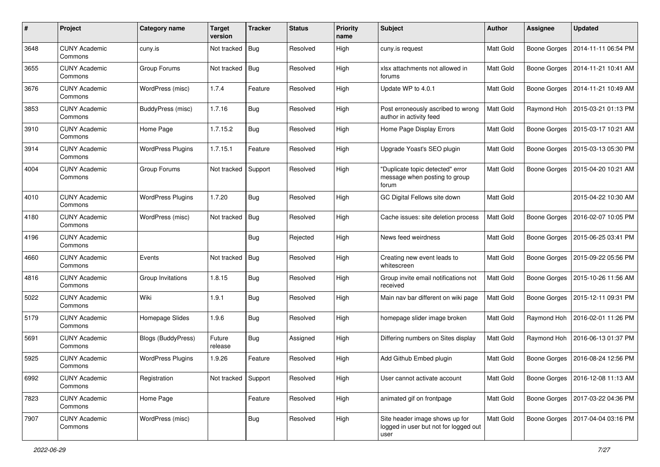| #    | Project                         | Category name            | <b>Target</b><br>version | <b>Tracker</b> | <b>Status</b> | <b>Priority</b><br>name | Subject                                                                         | Author           | Assignee            | <b>Updated</b>                     |
|------|---------------------------------|--------------------------|--------------------------|----------------|---------------|-------------------------|---------------------------------------------------------------------------------|------------------|---------------------|------------------------------------|
| 3648 | <b>CUNY Academic</b><br>Commons | cuny.is                  | Not tracked              | Bug            | Resolved      | High                    | cuny.is request                                                                 | Matt Gold        | <b>Boone Gorges</b> | 2014-11-11 06:54 PM                |
| 3655 | <b>CUNY Academic</b><br>Commons | Group Forums             | Not tracked              | Bug            | Resolved      | High                    | xlsx attachments not allowed in<br>forums                                       | Matt Gold        | <b>Boone Gorges</b> | 2014-11-21 10:41 AM                |
| 3676 | <b>CUNY Academic</b><br>Commons | WordPress (misc)         | 1.7.4                    | Feature        | Resolved      | High                    | Update WP to 4.0.1                                                              | <b>Matt Gold</b> | <b>Boone Gorges</b> | 2014-11-21 10:49 AM                |
| 3853 | <b>CUNY Academic</b><br>Commons | <b>BuddyPress (misc)</b> | 1.7.16                   | <b>Bug</b>     | Resolved      | High                    | Post erroneously ascribed to wrong<br>author in activity feed                   | <b>Matt Gold</b> | Raymond Hoh         | 2015-03-21 01:13 PM                |
| 3910 | <b>CUNY Academic</b><br>Commons | Home Page                | 1.7.15.2                 | Bug            | Resolved      | High                    | Home Page Display Errors                                                        | Matt Gold        | <b>Boone Gorges</b> | 2015-03-17 10:21 AM                |
| 3914 | <b>CUNY Academic</b><br>Commons | <b>WordPress Plugins</b> | 1.7.15.1                 | Feature        | Resolved      | High                    | Upgrade Yoast's SEO plugin                                                      | Matt Gold        | Boone Gorges        | 2015-03-13 05:30 PM                |
| 4004 | <b>CUNY Academic</b><br>Commons | Group Forums             | Not tracked              | Support        | Resolved      | High                    | "Duplicate topic detected" error<br>message when posting to group<br>forum      | Matt Gold        | <b>Boone Gorges</b> | 2015-04-20 10:21 AM                |
| 4010 | <b>CUNY Academic</b><br>Commons | <b>WordPress Plugins</b> | 1.7.20                   | Bug            | Resolved      | High                    | GC Digital Fellows site down                                                    | <b>Matt Gold</b> |                     | 2015-04-22 10:30 AM                |
| 4180 | <b>CUNY Academic</b><br>Commons | WordPress (misc)         | Not tracked              | <b>Bug</b>     | Resolved      | High                    | Cache issues: site deletion process                                             | Matt Gold        | <b>Boone Gorges</b> | 2016-02-07 10:05 PM                |
| 4196 | <b>CUNY Academic</b><br>Commons |                          |                          | Bug            | Rejected      | High                    | News feed weirdness                                                             | Matt Gold        | <b>Boone Gorges</b> | 2015-06-25 03:41 PM                |
| 4660 | <b>CUNY Academic</b><br>Commons | Events                   | Not tracked              | Bug            | Resolved      | High                    | Creating new event leads to<br>whitescreen                                      | Matt Gold        | Boone Gorges        | 2015-09-22 05:56 PM                |
| 4816 | <b>CUNY Academic</b><br>Commons | Group Invitations        | 1.8.15                   | Bug            | Resolved      | High                    | Group invite email notifications not<br>received                                | Matt Gold        | <b>Boone Gorges</b> | 2015-10-26 11:56 AM                |
| 5022 | <b>CUNY Academic</b><br>Commons | Wiki                     | 1.9.1                    | <b>Bug</b>     | Resolved      | High                    | Main nav bar different on wiki page                                             | <b>Matt Gold</b> | Boone Gorges        | 2015-12-11 09:31 PM                |
| 5179 | <b>CUNY Academic</b><br>Commons | Homepage Slides          | 1.9.6                    | <b>Bug</b>     | Resolved      | High                    | homepage slider image broken                                                    | Matt Gold        | Raymond Hoh         | 2016-02-01 11:26 PM                |
| 5691 | <b>CUNY Academic</b><br>Commons | Blogs (BuddyPress)       | Future<br>release        | <b>Bug</b>     | Assigned      | High                    | Differing numbers on Sites display                                              | Matt Gold        | Raymond Hoh         | 2016-06-13 01:37 PM                |
| 5925 | <b>CUNY Academic</b><br>Commons | <b>WordPress Plugins</b> | 1.9.26                   | Feature        | Resolved      | High                    | Add Github Embed plugin                                                         | <b>Matt Gold</b> | <b>Boone Gorges</b> | 2016-08-24 12:56 PM                |
| 6992 | <b>CUNY Academic</b><br>Commons | Registration             | Not tracked Support      |                | Resolved      | High                    | User cannot activate account                                                    | Matt Gold        |                     | Boone Gorges   2016-12-08 11:13 AM |
| 7823 | <b>CUNY Academic</b><br>Commons | Home Page                |                          | Feature        | Resolved      | High                    | animated gif on frontpage                                                       | Matt Gold        | Boone Gorges        | 2017-03-22 04:36 PM                |
| 7907 | <b>CUNY Academic</b><br>Commons | WordPress (misc)         |                          | <b>Bug</b>     | Resolved      | High                    | Site header image shows up for<br>logged in user but not for logged out<br>user | Matt Gold        | Boone Gorges        | 2017-04-04 03:16 PM                |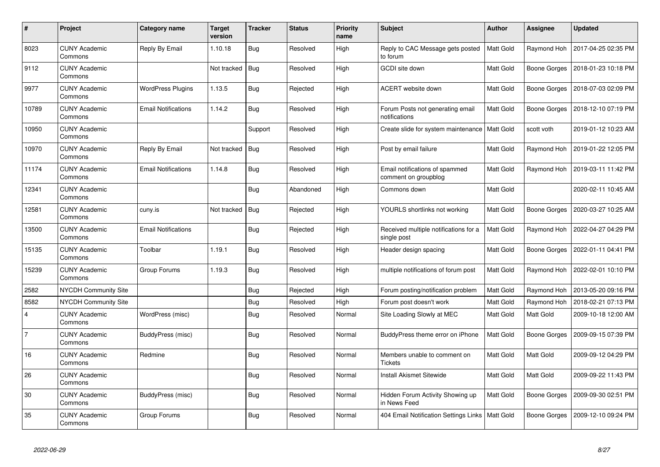| #              | Project                         | Category name              | Target<br>version | <b>Tracker</b> | <b>Status</b> | <b>Priority</b><br>name | <b>Subject</b>                                         | <b>Author</b>    | Assignee            | <b>Updated</b>      |
|----------------|---------------------------------|----------------------------|-------------------|----------------|---------------|-------------------------|--------------------------------------------------------|------------------|---------------------|---------------------|
| 8023           | <b>CUNY Academic</b><br>Commons | Reply By Email             | 1.10.18           | <b>Bug</b>     | Resolved      | High                    | Reply to CAC Message gets posted<br>to forum           | <b>Matt Gold</b> | Raymond Hoh         | 2017-04-25 02:35 PM |
| 9112           | <b>CUNY Academic</b><br>Commons |                            | Not tracked       | Bug            | Resolved      | High                    | GCDI site down                                         | Matt Gold        | Boone Gorges        | 2018-01-23 10:18 PM |
| 9977           | <b>CUNY Academic</b><br>Commons | <b>WordPress Plugins</b>   | 1.13.5            | <b>Bug</b>     | Rejected      | High                    | ACERT website down                                     | Matt Gold        | Boone Gorges        | 2018-07-03 02:09 PM |
| 10789          | <b>CUNY Academic</b><br>Commons | <b>Email Notifications</b> | 1.14.2            | <b>Bug</b>     | Resolved      | High                    | Forum Posts not generating email<br>notifications      | Matt Gold        | Boone Gorges        | 2018-12-10 07:19 PM |
| 10950          | <b>CUNY Academic</b><br>Commons |                            |                   | Support        | Resolved      | High                    | Create slide for system maintenance   Matt Gold        |                  | scott voth          | 2019-01-12 10:23 AM |
| 10970          | <b>CUNY Academic</b><br>Commons | Reply By Email             | Not tracked       | Bug            | Resolved      | High                    | Post by email failure                                  | Matt Gold        | Raymond Hoh         | 2019-01-22 12:05 PM |
| 11174          | <b>CUNY Academic</b><br>Commons | Email Notifications        | 1.14.8            | Bug            | Resolved      | High                    | Email notifications of spammed<br>comment on groupblog | <b>Matt Gold</b> | Raymond Hoh         | 2019-03-11 11:42 PM |
| 12341          | <b>CUNY Academic</b><br>Commons |                            |                   | <b>Bug</b>     | Abandoned     | High                    | Commons down                                           | <b>Matt Gold</b> |                     | 2020-02-11 10:45 AM |
| 12581          | <b>CUNY Academic</b><br>Commons | cuny.is                    | Not tracked       | Bug            | Rejected      | High                    | YOURLS shortlinks not working                          | Matt Gold        | Boone Gorges        | 2020-03-27 10:25 AM |
| 13500          | <b>CUNY Academic</b><br>Commons | Email Notifications        |                   | <b>Bug</b>     | Rejected      | High                    | Received multiple notifications for a<br>single post   | Matt Gold        | Raymond Hoh         | 2022-04-27 04:29 PM |
| 15135          | <b>CUNY Academic</b><br>Commons | Toolbar                    | 1.19.1            | Bug            | Resolved      | High                    | Header design spacing                                  | Matt Gold        | Boone Gorges        | 2022-01-11 04:41 PM |
| 15239          | <b>CUNY Academic</b><br>Commons | Group Forums               | 1.19.3            | <b>Bug</b>     | Resolved      | High                    | multiple notifications of forum post                   | Matt Gold        | Raymond Hoh         | 2022-02-01 10:10 PM |
| 2582           | <b>NYCDH Community Site</b>     |                            |                   | <b>Bug</b>     | Rejected      | High                    | Forum posting/notification problem                     | Matt Gold        | Raymond Hoh         | 2013-05-20 09:16 PM |
| 8582           | <b>NYCDH Community Site</b>     |                            |                   | <b>Bug</b>     | Resolved      | High                    | Forum post doesn't work                                | Matt Gold        | Raymond Hoh         | 2018-02-21 07:13 PM |
| $\overline{4}$ | <b>CUNY Academic</b><br>Commons | WordPress (misc)           |                   | <b>Bug</b>     | Resolved      | Normal                  | Site Loading Slowly at MEC                             | <b>Matt Gold</b> | Matt Gold           | 2009-10-18 12:00 AM |
| $\overline{7}$ | <b>CUNY Academic</b><br>Commons | BuddyPress (misc)          |                   | Bug            | Resolved      | Normal                  | BuddyPress theme error on iPhone                       | Matt Gold        | <b>Boone Gorges</b> | 2009-09-15 07:39 PM |
| 16             | <b>CUNY Academic</b><br>Commons | Redmine                    |                   | <b>Bug</b>     | Resolved      | Normal                  | Members unable to comment on<br><b>Tickets</b>         | Matt Gold        | Matt Gold           | 2009-09-12 04:29 PM |
| 26             | <b>CUNY Academic</b><br>Commons |                            |                   | Bug            | Resolved      | Normal                  | <b>Install Akismet Sitewide</b>                        | Matt Gold        | Matt Gold           | 2009-09-22 11:43 PM |
| 30             | <b>CUNY Academic</b><br>Commons | BuddyPress (misc)          |                   | Bug            | Resolved      | Normal                  | Hidden Forum Activity Showing up<br>in News Feed       | Matt Gold        | Boone Gorges        | 2009-09-30 02:51 PM |
| 35             | <b>CUNY Academic</b><br>Commons | Group Forums               |                   | <b>Bug</b>     | Resolved      | Normal                  | 404 Email Notification Settings Links                  | <b>Matt Gold</b> | <b>Boone Gorges</b> | 2009-12-10 09:24 PM |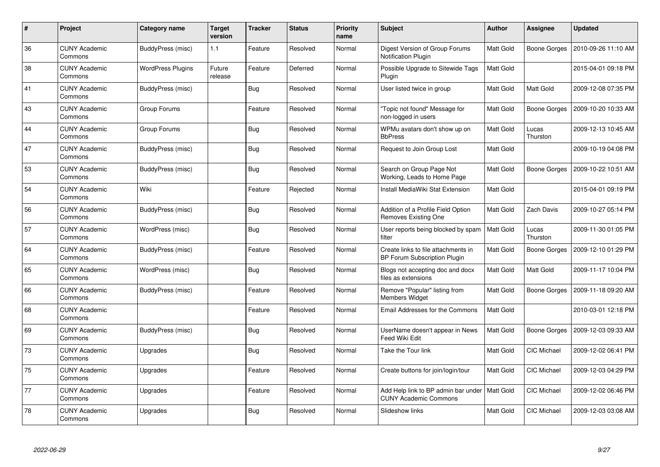| $\#$ | Project                         | Category name            | <b>Target</b><br>version | <b>Tracker</b> | <b>Status</b> | <b>Priority</b><br>name | <b>Subject</b>                                                             | <b>Author</b>    | Assignee            | <b>Updated</b>      |
|------|---------------------------------|--------------------------|--------------------------|----------------|---------------|-------------------------|----------------------------------------------------------------------------|------------------|---------------------|---------------------|
| 36   | <b>CUNY Academic</b><br>Commons | BuddyPress (misc)        | 1.1                      | Feature        | Resolved      | Normal                  | Digest Version of Group Forums<br>Notification Plugin                      | Matt Gold        | Boone Gorges        | 2010-09-26 11:10 AM |
| 38   | <b>CUNY Academic</b><br>Commons | <b>WordPress Plugins</b> | Future<br>release        | Feature        | Deferred      | Normal                  | Possible Upgrade to Sitewide Tags<br>Plugin                                | Matt Gold        |                     | 2015-04-01 09:18 PM |
| 41   | <b>CUNY Academic</b><br>Commons | BuddyPress (misc)        |                          | <b>Bug</b>     | Resolved      | Normal                  | User listed twice in group                                                 | <b>Matt Gold</b> | Matt Gold           | 2009-12-08 07:35 PM |
| 43   | <b>CUNY Academic</b><br>Commons | Group Forums             |                          | Feature        | Resolved      | Normal                  | "Topic not found" Message for<br>non-logged in users                       | Matt Gold        | Boone Gorges        | 2009-10-20 10:33 AM |
| 44   | <b>CUNY Academic</b><br>Commons | Group Forums             |                          | <b>Bug</b>     | Resolved      | Normal                  | WPMu avatars don't show up on<br><b>BbPress</b>                            | <b>Matt Gold</b> | Lucas<br>Thurston   | 2009-12-13 10:45 AM |
| 47   | <b>CUNY Academic</b><br>Commons | BuddyPress (misc)        |                          | <b>Bug</b>     | Resolved      | Normal                  | Request to Join Group Lost                                                 | Matt Gold        |                     | 2009-10-19 04:08 PM |
| 53   | <b>CUNY Academic</b><br>Commons | BuddyPress (misc)        |                          | Bug            | Resolved      | Normal                  | Search on Group Page Not<br>Working, Leads to Home Page                    | Matt Gold        | <b>Boone Gorges</b> | 2009-10-22 10:51 AM |
| 54   | <b>CUNY Academic</b><br>Commons | Wiki                     |                          | Feature        | Rejected      | Normal                  | Install MediaWiki Stat Extension                                           | Matt Gold        |                     | 2015-04-01 09:19 PM |
| 56   | <b>CUNY Academic</b><br>Commons | <b>BuddyPress (misc)</b> |                          | <b>Bug</b>     | Resolved      | Normal                  | Addition of a Profile Field Option<br><b>Removes Existing One</b>          | Matt Gold        | Zach Davis          | 2009-10-27 05:14 PM |
| 57   | <b>CUNY Academic</b><br>Commons | WordPress (misc)         |                          | <b>Bug</b>     | Resolved      | Normal                  | User reports being blocked by spam<br>filter                               | Matt Gold        | Lucas<br>Thurston   | 2009-11-30 01:05 PM |
| 64   | <b>CUNY Academic</b><br>Commons | BuddyPress (misc)        |                          | Feature        | Resolved      | Normal                  | Create links to file attachments in<br><b>BP Forum Subscription Plugin</b> | Matt Gold        | Boone Gorges        | 2009-12-10 01:29 PM |
| 65   | <b>CUNY Academic</b><br>Commons | WordPress (misc)         |                          | <b>Bug</b>     | Resolved      | Normal                  | Blogs not accepting doc and docx<br>files as extensions                    | Matt Gold        | Matt Gold           | 2009-11-17 10:04 PM |
| 66   | <b>CUNY Academic</b><br>Commons | <b>BuddyPress (misc)</b> |                          | Feature        | Resolved      | Normal                  | Remove "Popular" listing from<br>Members Widget                            | Matt Gold        | Boone Gorges        | 2009-11-18 09:20 AM |
| 68   | <b>CUNY Academic</b><br>Commons |                          |                          | Feature        | Resolved      | Normal                  | Email Addresses for the Commons                                            | Matt Gold        |                     | 2010-03-01 12:18 PM |
| 69   | <b>CUNY Academic</b><br>Commons | <b>BuddyPress (misc)</b> |                          | Bug            | Resolved      | Normal                  | UserName doesn't appear in News<br>Feed Wiki Edit                          | Matt Gold        | Boone Gorges        | 2009-12-03 09:33 AM |
| 73   | <b>CUNY Academic</b><br>Commons | Upgrades                 |                          | Bug            | Resolved      | Normal                  | Take the Tour link                                                         | Matt Gold        | CIC Michael         | 2009-12-02 06:41 PM |
| 75   | <b>CUNY Academic</b><br>Commons | Upgrades                 |                          | Feature        | Resolved      | Normal                  | Create buttons for join/login/tour                                         | Matt Gold        | CIC Michael         | 2009-12-03 04:29 PM |
| 77   | <b>CUNY Academic</b><br>Commons | Upgrades                 |                          | Feature        | Resolved      | Normal                  | Add Help link to BP admin bar under<br><b>CUNY Academic Commons</b>        | Matt Gold        | CIC Michael         | 2009-12-02 06:46 PM |
| 78   | <b>CUNY Academic</b><br>Commons | Upgrades                 |                          | Bug            | Resolved      | Normal                  | Slideshow links                                                            | <b>Matt Gold</b> | CIC Michael         | 2009-12-03 03:08 AM |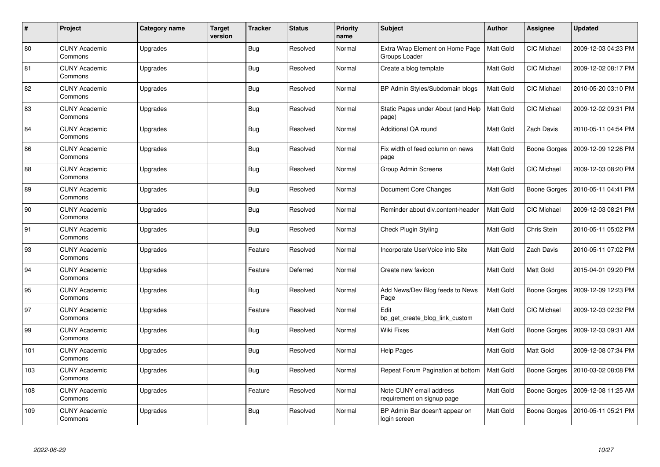| $\pmb{\#}$ | Project                         | Category name | <b>Target</b><br>version | <b>Tracker</b> | <b>Status</b> | <b>Priority</b><br>name | Subject                                               | <b>Author</b>    | Assignee           | <b>Updated</b>      |
|------------|---------------------------------|---------------|--------------------------|----------------|---------------|-------------------------|-------------------------------------------------------|------------------|--------------------|---------------------|
| 80         | <b>CUNY Academic</b><br>Commons | Upgrades      |                          | <b>Bug</b>     | Resolved      | Normal                  | Extra Wrap Element on Home Page<br>Groups Loader      | <b>Matt Gold</b> | CIC Michael        | 2009-12-03 04:23 PM |
| 81         | <b>CUNY Academic</b><br>Commons | Upgrades      |                          | <b>Bug</b>     | Resolved      | Normal                  | Create a blog template                                | Matt Gold        | <b>CIC Michael</b> | 2009-12-02 08:17 PM |
| 82         | <b>CUNY Academic</b><br>Commons | Upgrades      |                          | <b>Bug</b>     | Resolved      | Normal                  | BP Admin Styles/Subdomain blogs                       | <b>Matt Gold</b> | CIC Michael        | 2010-05-20 03:10 PM |
| 83         | <b>CUNY Academic</b><br>Commons | Upgrades      |                          | <b>Bug</b>     | Resolved      | Normal                  | Static Pages under About (and Help<br>page)           | <b>Matt Gold</b> | <b>CIC Michael</b> | 2009-12-02 09:31 PM |
| 84         | <b>CUNY Academic</b><br>Commons | Upgrades      |                          | <b>Bug</b>     | Resolved      | Normal                  | Additional QA round                                   | <b>Matt Gold</b> | Zach Davis         | 2010-05-11 04:54 PM |
| 86         | <b>CUNY Academic</b><br>Commons | Upgrades      |                          | <b>Bug</b>     | Resolved      | Normal                  | Fix width of feed column on news<br>page              | Matt Gold        | Boone Gorges       | 2009-12-09 12:26 PM |
| 88         | <b>CUNY Academic</b><br>Commons | Upgrades      |                          | <b>Bug</b>     | Resolved      | Normal                  | <b>Group Admin Screens</b>                            | <b>Matt Gold</b> | <b>CIC Michael</b> | 2009-12-03 08:20 PM |
| 89         | <b>CUNY Academic</b><br>Commons | Upgrades      |                          | Bug            | Resolved      | Normal                  | Document Core Changes                                 | Matt Gold        | Boone Gorges       | 2010-05-11 04:41 PM |
| 90         | <b>CUNY Academic</b><br>Commons | Upgrades      |                          | <b>Bug</b>     | Resolved      | Normal                  | Reminder about div.content-header                     | <b>Matt Gold</b> | CIC Michael        | 2009-12-03 08:21 PM |
| 91         | <b>CUNY Academic</b><br>Commons | Upgrades      |                          | <b>Bug</b>     | Resolved      | Normal                  | <b>Check Plugin Styling</b>                           | <b>Matt Gold</b> | <b>Chris Stein</b> | 2010-05-11 05:02 PM |
| 93         | <b>CUNY Academic</b><br>Commons | Upgrades      |                          | Feature        | Resolved      | Normal                  | Incorporate UserVoice into Site                       | Matt Gold        | Zach Davis         | 2010-05-11 07:02 PM |
| 94         | <b>CUNY Academic</b><br>Commons | Upgrades      |                          | Feature        | Deferred      | Normal                  | Create new favicon                                    | Matt Gold        | Matt Gold          | 2015-04-01 09:20 PM |
| 95         | <b>CUNY Academic</b><br>Commons | Upgrades      |                          | <b>Bug</b>     | Resolved      | Normal                  | Add News/Dev Blog feeds to News<br>Page               | <b>Matt Gold</b> | Boone Gorges       | 2009-12-09 12:23 PM |
| 97         | <b>CUNY Academic</b><br>Commons | Upgrades      |                          | Feature        | Resolved      | Normal                  | Edit<br>bp get create blog link custom                | Matt Gold        | CIC Michael        | 2009-12-03 02:32 PM |
| 99         | <b>CUNY Academic</b><br>Commons | Upgrades      |                          | <b>Bug</b>     | Resolved      | Normal                  | Wiki Fixes                                            | Matt Gold        | Boone Gorges       | 2009-12-03 09:31 AM |
| 101        | <b>CUNY Academic</b><br>Commons | Upgrades      |                          | <b>Bug</b>     | Resolved      | Normal                  | <b>Help Pages</b>                                     | Matt Gold        | Matt Gold          | 2009-12-08 07:34 PM |
| 103        | <b>CUNY Academic</b><br>Commons | Upgrades      |                          | Bug            | Resolved      | Normal                  | Repeat Forum Pagination at bottom                     | <b>Matt Gold</b> | Boone Gorges       | 2010-03-02 08:08 PM |
| 108        | <b>CUNY Academic</b><br>Commons | Upgrades      |                          | Feature        | Resolved      | Normal                  | Note CUNY email address<br>requirement on signup page | Matt Gold        | Boone Gorges       | 2009-12-08 11:25 AM |
| 109        | CUNY Academic<br>Commons        | Upgrades      |                          | <b>Bug</b>     | Resolved      | Normal                  | BP Admin Bar doesn't appear on<br>login screen        | Matt Gold        | Boone Gorges       | 2010-05-11 05:21 PM |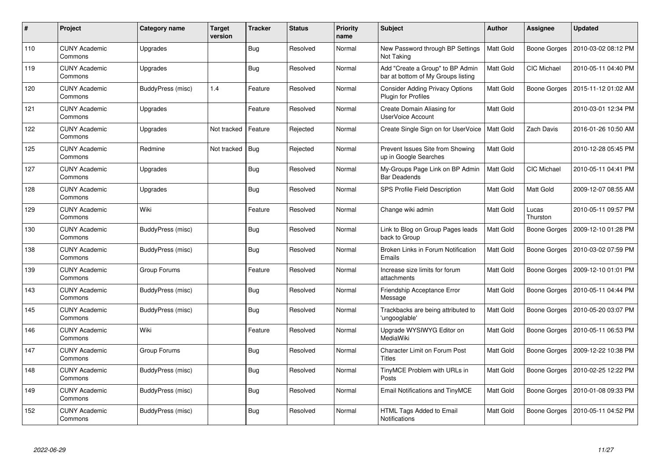| $\#$ | Project                         | Category name            | <b>Target</b><br>version | <b>Tracker</b> | <b>Status</b> | <b>Priority</b><br>name | <b>Subject</b>                                                         | <b>Author</b>    | Assignee            | <b>Updated</b>      |
|------|---------------------------------|--------------------------|--------------------------|----------------|---------------|-------------------------|------------------------------------------------------------------------|------------------|---------------------|---------------------|
| 110  | <b>CUNY Academic</b><br>Commons | Upgrades                 |                          | <b>Bug</b>     | Resolved      | Normal                  | New Password through BP Settings<br>Not Taking                         | Matt Gold        | <b>Boone Gorges</b> | 2010-03-02 08:12 PM |
| 119  | <b>CUNY Academic</b><br>Commons | Upgrades                 |                          | Bug            | Resolved      | Normal                  | Add "Create a Group" to BP Admin<br>bar at bottom of My Groups listing | Matt Gold        | <b>CIC Michael</b>  | 2010-05-11 04:40 PM |
| 120  | <b>CUNY Academic</b><br>Commons | BuddyPress (misc)        | 1.4                      | Feature        | Resolved      | Normal                  | <b>Consider Adding Privacy Options</b><br>Plugin for Profiles          | Matt Gold        | Boone Gorges        | 2015-11-12 01:02 AM |
| 121  | <b>CUNY Academic</b><br>Commons | Upgrades                 |                          | Feature        | Resolved      | Normal                  | Create Domain Aliasing for<br><b>UserVoice Account</b>                 | Matt Gold        |                     | 2010-03-01 12:34 PM |
| 122  | <b>CUNY Academic</b><br>Commons | Upgrades                 | Not tracked              | Feature        | Rejected      | Normal                  | Create Single Sign on for UserVoice                                    | <b>Matt Gold</b> | Zach Davis          | 2016-01-26 10:50 AM |
| 125  | <b>CUNY Academic</b><br>Commons | Redmine                  | Not tracked              | <b>Bug</b>     | Rejected      | Normal                  | Prevent Issues Site from Showing<br>up in Google Searches              | Matt Gold        |                     | 2010-12-28 05:45 PM |
| 127  | <b>CUNY Academic</b><br>Commons | Upgrades                 |                          | <b>Bug</b>     | Resolved      | Normal                  | My-Groups Page Link on BP Admin<br><b>Bar Deadends</b>                 | Matt Gold        | <b>CIC Michael</b>  | 2010-05-11 04:41 PM |
| 128  | <b>CUNY Academic</b><br>Commons | Upgrades                 |                          | <b>Bug</b>     | Resolved      | Normal                  | SPS Profile Field Description                                          | <b>Matt Gold</b> | Matt Gold           | 2009-12-07 08:55 AM |
| 129  | <b>CUNY Academic</b><br>Commons | Wiki                     |                          | Feature        | Resolved      | Normal                  | Change wiki admin                                                      | Matt Gold        | Lucas<br>Thurston   | 2010-05-11 09:57 PM |
| 130  | <b>CUNY Academic</b><br>Commons | BuddyPress (misc)        |                          | <b>Bug</b>     | Resolved      | Normal                  | Link to Blog on Group Pages leads<br>back to Group                     | <b>Matt Gold</b> | Boone Gorges        | 2009-12-10 01:28 PM |
| 138  | <b>CUNY Academic</b><br>Commons | <b>BuddyPress (misc)</b> |                          | <b>Bug</b>     | Resolved      | Normal                  | Broken Links in Forum Notification<br>Emails                           | Matt Gold        | Boone Gorges        | 2010-03-02 07:59 PM |
| 139  | <b>CUNY Academic</b><br>Commons | Group Forums             |                          | Feature        | Resolved      | Normal                  | Increase size limits for forum<br>attachments                          | Matt Gold        | Boone Gorges        | 2009-12-10 01:01 PM |
| 143  | <b>CUNY Academic</b><br>Commons | BuddyPress (misc)        |                          | Bug            | Resolved      | Normal                  | Friendship Acceptance Error<br>Message                                 | Matt Gold        | Boone Gorges        | 2010-05-11 04:44 PM |
| 145  | <b>CUNY Academic</b><br>Commons | BuddyPress (misc)        |                          | <b>Bug</b>     | Resolved      | Normal                  | Trackbacks are being attributed to<br>'ungooglable'                    | Matt Gold        | Boone Gorges        | 2010-05-20 03:07 PM |
| 146  | <b>CUNY Academic</b><br>Commons | Wiki                     |                          | Feature        | Resolved      | Normal                  | Upgrade WYSIWYG Editor on<br>MediaWiki                                 | Matt Gold        | Boone Gorges        | 2010-05-11 06:53 PM |
| 147  | <b>CUNY Academic</b><br>Commons | Group Forums             |                          | Bug            | Resolved      | Normal                  | <b>Character Limit on Forum Post</b><br><b>Titles</b>                  | Matt Gold        | <b>Boone Gorges</b> | 2009-12-22 10:38 PM |
| 148  | <b>CUNY Academic</b><br>Commons | BuddyPress (misc)        |                          | Bug            | Resolved      | Normal                  | TinyMCE Problem with URLs in<br>Posts                                  | Matt Gold        | Boone Gorges        | 2010-02-25 12:22 PM |
| 149  | <b>CUNY Academic</b><br>Commons | BuddyPress (misc)        |                          | <b>Bug</b>     | Resolved      | Normal                  | Email Notifications and TinyMCE                                        | Matt Gold        | Boone Gorges        | 2010-01-08 09:33 PM |
| 152  | <b>CUNY Academic</b><br>Commons | BuddyPress (misc)        |                          | <b>Bug</b>     | Resolved      | Normal                  | HTML Tags Added to Email<br>Notifications                              | Matt Gold        | <b>Boone Gorges</b> | 2010-05-11 04:52 PM |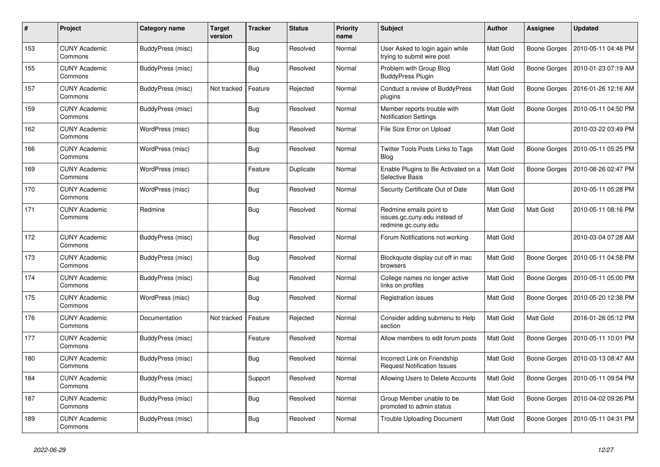| $\#$ | Project                         | Category name     | <b>Target</b><br>version | <b>Tracker</b> | <b>Status</b> | Priority<br>name | <b>Subject</b>                                                                  | <b>Author</b>    | Assignee            | <b>Updated</b>      |
|------|---------------------------------|-------------------|--------------------------|----------------|---------------|------------------|---------------------------------------------------------------------------------|------------------|---------------------|---------------------|
| 153  | <b>CUNY Academic</b><br>Commons | BuddyPress (misc) |                          | <b>Bug</b>     | Resolved      | Normal           | User Asked to login again while<br>trying to submit wire post                   | <b>Matt Gold</b> | Boone Gorges        | 2010-05-11 04:48 PM |
| 155  | <b>CUNY Academic</b><br>Commons | BuddyPress (misc) |                          | <b>Bug</b>     | Resolved      | Normal           | Problem with Group Blog<br><b>BuddyPress Plugin</b>                             | Matt Gold        | Boone Gorges        | 2010-01-23 07:19 AM |
| 157  | <b>CUNY Academic</b><br>Commons | BuddyPress (misc) | Not tracked              | Feature        | Rejected      | Normal           | Conduct a review of BuddyPress<br>plugins                                       | Matt Gold        | Boone Gorges        | 2016-01-26 12:16 AM |
| 159  | <b>CUNY Academic</b><br>Commons | BuddyPress (misc) |                          | <b>Bug</b>     | Resolved      | Normal           | Member reports trouble with<br><b>Notification Settings</b>                     | Matt Gold        | Boone Gorges        | 2010-05-11 04:50 PM |
| 162  | <b>CUNY Academic</b><br>Commons | WordPress (misc)  |                          | Bug            | Resolved      | Normal           | File Size Error on Upload                                                       | Matt Gold        |                     | 2010-03-22 03:49 PM |
| 166  | <b>CUNY Academic</b><br>Commons | WordPress (misc)  |                          | <b>Bug</b>     | Resolved      | Normal           | <b>Twitter Tools Posts Links to Tags</b><br>Blog                                | Matt Gold        | <b>Boone Gorges</b> | 2010-05-11 05:25 PM |
| 169  | <b>CUNY Academic</b><br>Commons | WordPress (misc)  |                          | Feature        | Duplicate     | Normal           | Enable Plugins to Be Activated on a<br><b>Selective Basis</b>                   | Matt Gold        | Boone Gorges        | 2010-08-26 02:47 PM |
| 170  | <b>CUNY Academic</b><br>Commons | WordPress (misc)  |                          | <b>Bug</b>     | Resolved      | Normal           | Security Certificate Out of Date                                                | Matt Gold        |                     | 2010-05-11 05:28 PM |
| 171  | <b>CUNY Academic</b><br>Commons | Redmine           |                          | Bug            | Resolved      | Normal           | Redmine emails point to<br>issues.gc.cuny.edu instead of<br>redmine.gc.cuny.edu | Matt Gold        | Matt Gold           | 2010-05-11 08:16 PM |
| 172  | <b>CUNY Academic</b><br>Commons | BuddyPress (misc) |                          | <b>Bug</b>     | Resolved      | Normal           | Forum Notifications not working                                                 | Matt Gold        |                     | 2010-03-04 07:28 AM |
| 173  | <b>CUNY Academic</b><br>Commons | BuddyPress (misc) |                          | <b>Bug</b>     | Resolved      | Normal           | Blockquote display cut off in mac<br>browsers                                   | Matt Gold        | Boone Gorges        | 2010-05-11 04:58 PM |
| 174  | <b>CUNY Academic</b><br>Commons | BuddyPress (misc) |                          | <b>Bug</b>     | Resolved      | Normal           | College names no longer active<br>links on profiles                             | Matt Gold        | Boone Gorges        | 2010-05-11 05:00 PM |
| 175  | <b>CUNY Academic</b><br>Commons | WordPress (misc)  |                          | <b>Bug</b>     | Resolved      | Normal           | Registration issues                                                             | Matt Gold        | Boone Gorges        | 2010-05-20 12:38 PM |
| 176  | <b>CUNY Academic</b><br>Commons | Documentation     | Not tracked              | Feature        | Rejected      | Normal           | Consider adding submenu to Help<br>section                                      | Matt Gold        | Matt Gold           | 2016-01-26 05:12 PM |
| 177  | <b>CUNY Academic</b><br>Commons | BuddyPress (misc) |                          | Feature        | Resolved      | Normal           | Allow members to edit forum posts                                               | Matt Gold        | Boone Gorges        | 2010-05-11 10:01 PM |
| 180  | <b>CUNY Academic</b><br>Commons | BuddyPress (misc) |                          | <b>Bug</b>     | Resolved      | Normal           | Incorrect Link on Friendship<br><b>Request Notification Issues</b>              | Matt Gold        | Boone Gorges        | 2010-03-13 08:47 AM |
| 184  | <b>CUNY Academic</b><br>Commons | BuddyPress (misc) |                          | Support        | Resolved      | Normal           | Allowing Users to Delete Accounts                                               | <b>Matt Gold</b> | Boone Gorges        | 2010-05-11 09:54 PM |
| 187  | <b>CUNY Academic</b><br>Commons | BuddyPress (misc) |                          | <b>Bug</b>     | Resolved      | Normal           | Group Member unable to be<br>promoted to admin status                           | Matt Gold        | Boone Gorges        | 2010-04-02 09:26 PM |
| 189  | <b>CUNY Academic</b><br>Commons | BuddyPress (misc) |                          | <b>Bug</b>     | Resolved      | Normal           | <b>Trouble Uploading Document</b>                                               | Matt Gold        | Boone Gorges        | 2010-05-11 04:31 PM |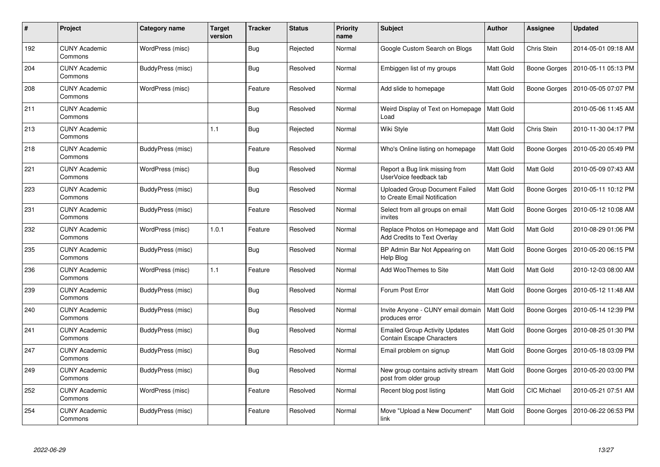| #   | Project                         | Category name     | <b>Target</b><br>version | <b>Tracker</b> | <b>Status</b> | <b>Priority</b><br>name | <b>Subject</b>                                                        | <b>Author</b> | Assignee            | <b>Updated</b>      |
|-----|---------------------------------|-------------------|--------------------------|----------------|---------------|-------------------------|-----------------------------------------------------------------------|---------------|---------------------|---------------------|
| 192 | <b>CUNY Academic</b><br>Commons | WordPress (misc)  |                          | Bug            | Rejected      | Normal                  | Google Custom Search on Blogs                                         | Matt Gold     | Chris Stein         | 2014-05-01 09:18 AM |
| 204 | <b>CUNY Academic</b><br>Commons | BuddyPress (misc) |                          | <b>Bug</b>     | Resolved      | Normal                  | Embiggen list of my groups                                            | Matt Gold     | Boone Gorges        | 2010-05-11 05:13 PM |
| 208 | <b>CUNY Academic</b><br>Commons | WordPress (misc)  |                          | Feature        | Resolved      | Normal                  | Add slide to homepage                                                 | Matt Gold     | <b>Boone Gorges</b> | 2010-05-05 07:07 PM |
| 211 | <b>CUNY Academic</b><br>Commons |                   |                          | Bug            | Resolved      | Normal                  | Weird Display of Text on Homepage<br>Load                             | Matt Gold     |                     | 2010-05-06 11:45 AM |
| 213 | <b>CUNY Academic</b><br>Commons |                   | 1.1                      | Bug            | Rejected      | Normal                  | Wiki Style                                                            | Matt Gold     | Chris Stein         | 2010-11-30 04:17 PM |
| 218 | <b>CUNY Academic</b><br>Commons | BuddyPress (misc) |                          | Feature        | Resolved      | Normal                  | Who's Online listing on homepage                                      | Matt Gold     | <b>Boone Gorges</b> | 2010-05-20 05:49 PM |
| 221 | <b>CUNY Academic</b><br>Commons | WordPress (misc)  |                          | Bug            | Resolved      | Normal                  | Report a Bug link missing from<br>UserVoice feedback tab              | Matt Gold     | Matt Gold           | 2010-05-09 07:43 AM |
| 223 | <b>CUNY Academic</b><br>Commons | BuddyPress (misc) |                          | <b>Bug</b>     | Resolved      | Normal                  | <b>Uploaded Group Document Failed</b><br>to Create Email Notification | Matt Gold     | Boone Gorges        | 2010-05-11 10:12 PM |
| 231 | CUNY Academic<br>Commons        | BuddyPress (misc) |                          | Feature        | Resolved      | Normal                  | Select from all groups on email<br>invites                            | Matt Gold     | Boone Gorges        | 2010-05-12 10:08 AM |
| 232 | <b>CUNY Academic</b><br>Commons | WordPress (misc)  | 1.0.1                    | Feature        | Resolved      | Normal                  | Replace Photos on Homepage and<br><b>Add Credits to Text Overlay</b>  | Matt Gold     | Matt Gold           | 2010-08-29 01:06 PM |
| 235 | <b>CUNY Academic</b><br>Commons | BuddyPress (misc) |                          | Bug            | Resolved      | Normal                  | BP Admin Bar Not Appearing on<br>Help Blog                            | Matt Gold     | <b>Boone Gorges</b> | 2010-05-20 06:15 PM |
| 236 | <b>CUNY Academic</b><br>Commons | WordPress (misc)  | 1.1                      | Feature        | Resolved      | Normal                  | Add WooThemes to Site                                                 | Matt Gold     | Matt Gold           | 2010-12-03 08:00 AM |
| 239 | <b>CUNY Academic</b><br>Commons | BuddyPress (misc) |                          | <b>Bug</b>     | Resolved      | Normal                  | Forum Post Error                                                      | Matt Gold     | Boone Gorges        | 2010-05-12 11:48 AM |
| 240 | <b>CUNY Academic</b><br>Commons | BuddyPress (misc) |                          | <b>Bug</b>     | Resolved      | Normal                  | Invite Anyone - CUNY email domain<br>produces error                   | Matt Gold     | <b>Boone Gorges</b> | 2010-05-14 12:39 PM |
| 241 | <b>CUNY Academic</b><br>Commons | BuddyPress (misc) |                          | <b>Bug</b>     | Resolved      | Normal                  | <b>Emailed Group Activity Updates</b><br>Contain Escape Characters    | Matt Gold     | <b>Boone Gorges</b> | 2010-08-25 01:30 PM |
| 247 | <b>CUNY Academic</b><br>Commons | BuddyPress (misc) |                          | <b>Bug</b>     | Resolved      | Normal                  | Email problem on signup                                               | Matt Gold     | Boone Gorges        | 2010-05-18 03:09 PM |
| 249 | <b>CUNY Academic</b><br>Commons | BuddyPress (misc) |                          | <b>Bug</b>     | Resolved      | Normal                  | New group contains activity stream<br>post from older group           | Matt Gold     | Boone Gorges        | 2010-05-20 03:00 PM |
| 252 | <b>CUNY Academic</b><br>Commons | WordPress (misc)  |                          | Feature        | Resolved      | Normal                  | Recent blog post listing                                              | Matt Gold     | <b>CIC Michael</b>  | 2010-05-21 07:51 AM |
| 254 | <b>CUNY Academic</b><br>Commons | BuddyPress (misc) |                          | Feature        | Resolved      | Normal                  | Move "Upload a New Document"<br>link                                  | Matt Gold     | <b>Boone Gorges</b> | 2010-06-22 06:53 PM |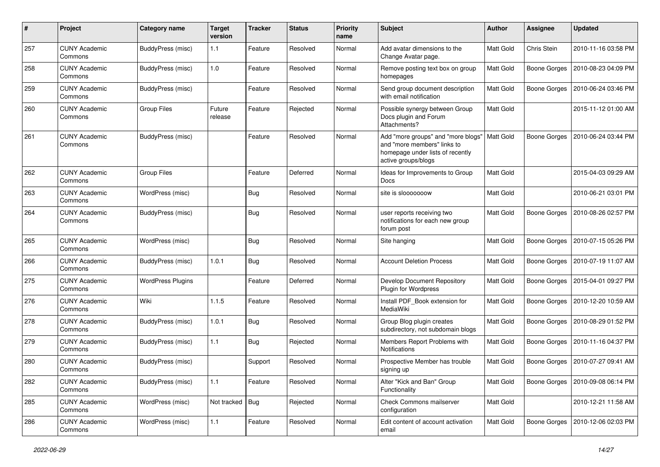| $\#$ | Project                         | Category name            | <b>Target</b><br>version | <b>Tracker</b> | <b>Status</b> | <b>Priority</b><br>name | <b>Subject</b>                                                                                                               | Author           | <b>Assignee</b>     | <b>Updated</b>      |
|------|---------------------------------|--------------------------|--------------------------|----------------|---------------|-------------------------|------------------------------------------------------------------------------------------------------------------------------|------------------|---------------------|---------------------|
| 257  | <b>CUNY Academic</b><br>Commons | BuddyPress (misc)        | 1.1                      | Feature        | Resolved      | Normal                  | Add avatar dimensions to the<br>Change Avatar page.                                                                          | Matt Gold        | Chris Stein         | 2010-11-16 03:58 PM |
| 258  | <b>CUNY Academic</b><br>Commons | BuddyPress (misc)        | 1.0                      | Feature        | Resolved      | Normal                  | Remove posting text box on group<br>homepages                                                                                | Matt Gold        | <b>Boone Gorges</b> | 2010-08-23 04:09 PM |
| 259  | <b>CUNY Academic</b><br>Commons | BuddyPress (misc)        |                          | Feature        | Resolved      | Normal                  | Send group document description<br>with email notification                                                                   | Matt Gold        | <b>Boone Gorges</b> | 2010-06-24 03:46 PM |
| 260  | <b>CUNY Academic</b><br>Commons | <b>Group Files</b>       | Future<br>release        | Feature        | Rejected      | Normal                  | Possible synergy between Group<br>Docs plugin and Forum<br>Attachments?                                                      | Matt Gold        |                     | 2015-11-12 01:00 AM |
| 261  | <b>CUNY Academic</b><br>Commons | BuddyPress (misc)        |                          | Feature        | Resolved      | Normal                  | Add "more groups" and "more blogs"<br>and "more members" links to<br>homepage under lists of recently<br>active groups/blogs | <b>Matt Gold</b> | <b>Boone Gorges</b> | 2010-06-24 03:44 PM |
| 262  | <b>CUNY Academic</b><br>Commons | Group Files              |                          | Feature        | Deferred      | Normal                  | Ideas for Improvements to Group<br>Docs                                                                                      | <b>Matt Gold</b> |                     | 2015-04-03 09:29 AM |
| 263  | <b>CUNY Academic</b><br>Commons | WordPress (misc)         |                          | Bug            | Resolved      | Normal                  | site is slooooooow                                                                                                           | Matt Gold        |                     | 2010-06-21 03:01 PM |
| 264  | <b>CUNY Academic</b><br>Commons | BuddyPress (misc)        |                          | <b>Bug</b>     | Resolved      | Normal                  | user reports receiving two<br>notifications for each new group<br>forum post                                                 | Matt Gold        | <b>Boone Gorges</b> | 2010-08-26 02:57 PM |
| 265  | <b>CUNY Academic</b><br>Commons | WordPress (misc)         |                          | Bug            | Resolved      | Normal                  | Site hanging                                                                                                                 | Matt Gold        | <b>Boone Gorges</b> | 2010-07-15 05:26 PM |
| 266  | <b>CUNY Academic</b><br>Commons | BuddyPress (misc)        | 1.0.1                    | Bug            | Resolved      | Normal                  | <b>Account Deletion Process</b>                                                                                              | <b>Matt Gold</b> | <b>Boone Gorges</b> | 2010-07-19 11:07 AM |
| 275  | <b>CUNY Academic</b><br>Commons | <b>WordPress Plugins</b> |                          | Feature        | Deferred      | Normal                  | Develop Document Repository<br><b>Plugin for Wordpress</b>                                                                   | Matt Gold        | <b>Boone Gorges</b> | 2015-04-01 09:27 PM |
| 276  | <b>CUNY Academic</b><br>Commons | Wiki                     | 1.1.5                    | Feature        | Resolved      | Normal                  | Install PDF_Book extension for<br>MediaWiki                                                                                  | Matt Gold        | <b>Boone Gorges</b> | 2010-12-20 10:59 AM |
| 278  | <b>CUNY Academic</b><br>Commons | <b>BuddyPress (misc)</b> | 1.0.1                    | <b>Bug</b>     | Resolved      | Normal                  | Group Blog plugin creates<br>subdirectory, not subdomain blogs                                                               | Matt Gold        | <b>Boone Gorges</b> | 2010-08-29 01:52 PM |
| 279  | <b>CUNY Academic</b><br>Commons | BuddyPress (misc)        | 1.1                      | Bug            | Rejected      | Normal                  | Members Report Problems with<br>Notifications                                                                                | Matt Gold        | <b>Boone Gorges</b> | 2010-11-16 04:37 PM |
| 280  | CUNY Academic<br>Commons        | BuddyPress (misc)        |                          | Support        | Resolved      | Normal                  | Prospective Member has trouble<br>signing up                                                                                 | Matt Gold        | Boone Gorges        | 2010-07-27 09:41 AM |
| 282  | <b>CUNY Academic</b><br>Commons | BuddyPress (misc)        | 1.1                      | Feature        | Resolved      | Normal                  | Alter "Kick and Ban" Group<br>Functionality                                                                                  | Matt Gold        | Boone Gorges        | 2010-09-08 06:14 PM |
| 285  | <b>CUNY Academic</b><br>Commons | WordPress (misc)         | Not tracked              | Bug            | Rejected      | Normal                  | Check Commons mailserver<br>configuration                                                                                    | Matt Gold        |                     | 2010-12-21 11:58 AM |
| 286  | <b>CUNY Academic</b><br>Commons | <b>WordPress (misc)</b>  | $1.1$                    | Feature        | Resolved      | Normal                  | Edit content of account activation<br>email                                                                                  | Matt Gold        | Boone Gorges        | 2010-12-06 02:03 PM |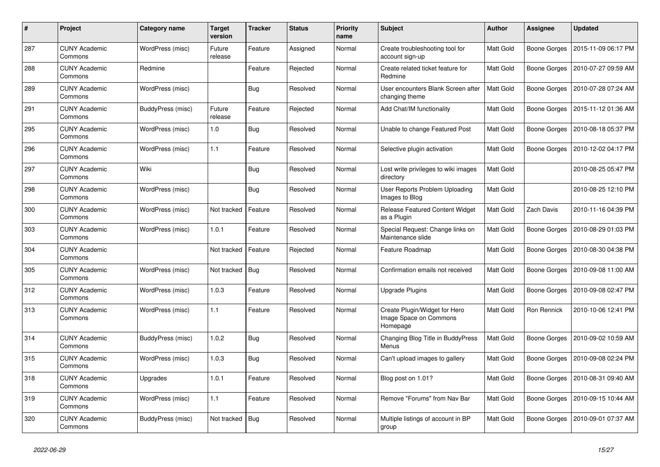| #   | Project                         | Category name     | <b>Target</b><br>version | <b>Tracker</b> | <b>Status</b> | <b>Priority</b><br>name | <b>Subject</b>                                                      | <b>Author</b>    | Assignee            | <b>Updated</b>      |
|-----|---------------------------------|-------------------|--------------------------|----------------|---------------|-------------------------|---------------------------------------------------------------------|------------------|---------------------|---------------------|
| 287 | <b>CUNY Academic</b><br>Commons | WordPress (misc)  | Future<br>release        | Feature        | Assigned      | Normal                  | Create troubleshooting tool for<br>account sign-up                  | Matt Gold        | Boone Gorges        | 2015-11-09 06:17 PM |
| 288 | <b>CUNY Academic</b><br>Commons | Redmine           |                          | Feature        | Rejected      | Normal                  | Create related ticket feature for<br>Redmine                        | Matt Gold        | <b>Boone Gorges</b> | 2010-07-27 09:59 AM |
| 289 | <b>CUNY Academic</b><br>Commons | WordPress (misc)  |                          | Bug            | Resolved      | Normal                  | User encounters Blank Screen after<br>changing theme                | Matt Gold        | Boone Gorges        | 2010-07-28 07:24 AM |
| 291 | <b>CUNY Academic</b><br>Commons | BuddyPress (misc) | Future<br>release        | Feature        | Rejected      | Normal                  | Add Chat/IM functionality                                           | Matt Gold        | <b>Boone Gorges</b> | 2015-11-12 01:36 AM |
| 295 | <b>CUNY Academic</b><br>Commons | WordPress (misc)  | 1.0                      | <b>Bug</b>     | Resolved      | Normal                  | Unable to change Featured Post                                      | Matt Gold        | <b>Boone Gorges</b> | 2010-08-18 05:37 PM |
| 296 | <b>CUNY Academic</b><br>Commons | WordPress (misc)  | 1.1                      | Feature        | Resolved      | Normal                  | Selective plugin activation                                         | Matt Gold        | <b>Boone Gorges</b> | 2010-12-02 04:17 PM |
| 297 | <b>CUNY Academic</b><br>Commons | Wiki              |                          | <b>Bug</b>     | Resolved      | Normal                  | Lost write privileges to wiki images<br>directory                   | Matt Gold        |                     | 2010-08-25 05:47 PM |
| 298 | <b>CUNY Academic</b><br>Commons | WordPress (misc)  |                          | Bug            | Resolved      | Normal                  | User Reports Problem Uploading<br>Images to Blog                    | Matt Gold        |                     | 2010-08-25 12:10 PM |
| 300 | <b>CUNY Academic</b><br>Commons | WordPress (misc)  | Not tracked              | Feature        | Resolved      | Normal                  | <b>Release Featured Content Widget</b><br>as a Plugin               | Matt Gold        | <b>Zach Davis</b>   | 2010-11-16 04:39 PM |
| 303 | <b>CUNY Academic</b><br>Commons | WordPress (misc)  | 1.0.1                    | Feature        | Resolved      | Normal                  | Special Request: Change links on<br>Maintenance slide               | <b>Matt Gold</b> | Boone Gorges        | 2010-08-29 01:03 PM |
| 304 | <b>CUNY Academic</b><br>Commons |                   | Not tracked              | Feature        | Rejected      | Normal                  | Feature Roadmap                                                     | Matt Gold        | Boone Gorges        | 2010-08-30 04:38 PM |
| 305 | <b>CUNY Academic</b><br>Commons | WordPress (misc)  | Not tracked              | <b>Bug</b>     | Resolved      | Normal                  | Confirmation emails not received                                    | Matt Gold        | <b>Boone Gorges</b> | 2010-09-08 11:00 AM |
| 312 | <b>CUNY Academic</b><br>Commons | WordPress (misc)  | 1.0.3                    | Feature        | Resolved      | Normal                  | Upgrade Plugins                                                     | <b>Matt Gold</b> | Boone Gorges        | 2010-09-08 02:47 PM |
| 313 | CUNY Academic<br>Commons        | WordPress (misc)  | 1.1                      | Feature        | Resolved      | Normal                  | Create Plugin/Widget for Hero<br>Image Space on Commons<br>Homepage | Matt Gold        | Ron Rennick         | 2010-10-06 12:41 PM |
| 314 | <b>CUNY Academic</b><br>Commons | BuddyPress (misc) | 1.0.2                    | Bug            | Resolved      | Normal                  | Changing Blog Title in BuddyPress<br>Menus                          | Matt Gold        | Boone Gorges        | 2010-09-02 10:59 AM |
| 315 | <b>CUNY Academic</b><br>Commons | WordPress (misc)  | 1.0.3                    | <b>Bug</b>     | Resolved      | Normal                  | Can't upload images to gallery                                      | Matt Gold        | <b>Boone Gorges</b> | 2010-09-08 02:24 PM |
| 318 | <b>CUNY Academic</b><br>Commons | Upgrades          | 1.0.1                    | Feature        | Resolved      | Normal                  | Blog post on 1.01?                                                  | Matt Gold        | Boone Gorges        | 2010-08-31 09:40 AM |
| 319 | <b>CUNY Academic</b><br>Commons | WordPress (misc)  | 1.1                      | Feature        | Resolved      | Normal                  | Remove "Forums" from Nav Bar                                        | Matt Gold        | Boone Gorges        | 2010-09-15 10:44 AM |
| 320 | <b>CUNY Academic</b><br>Commons | BuddyPress (misc) | Not tracked              | Bug            | Resolved      | Normal                  | Multiple listings of account in BP<br>group                         | <b>Matt Gold</b> | Boone Gorges        | 2010-09-01 07:37 AM |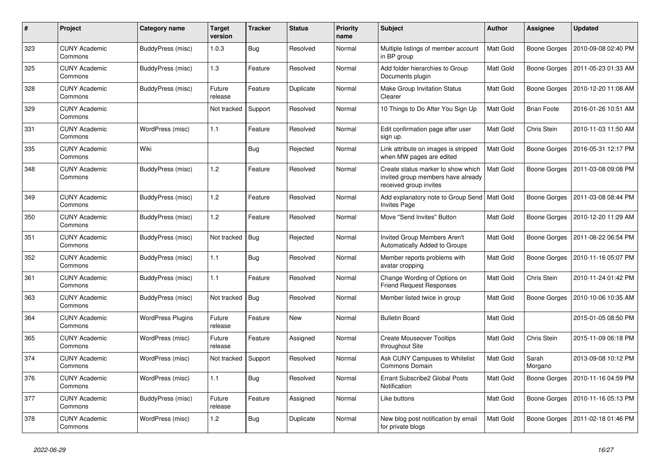| $\#$ | Project                         | Category name            | <b>Target</b><br>version | <b>Tracker</b> | <b>Status</b> | Priority<br>name | <b>Subject</b>                                                                                     | <b>Author</b>    | <b>Assignee</b>     | <b>Updated</b>      |
|------|---------------------------------|--------------------------|--------------------------|----------------|---------------|------------------|----------------------------------------------------------------------------------------------------|------------------|---------------------|---------------------|
| 323  | <b>CUNY Academic</b><br>Commons | BuddyPress (misc)        | 1.0.3                    | <b>Bug</b>     | Resolved      | Normal           | Multiple listings of member account<br>in BP group                                                 | <b>Matt Gold</b> | Boone Gorges        | 2010-09-08 02:40 PM |
| 325  | <b>CUNY Academic</b><br>Commons | BuddyPress (misc)        | 1.3                      | Feature        | Resolved      | Normal           | Add folder hierarchies to Group<br>Documents plugin                                                | Matt Gold        | Boone Gorges        | 2011-05-23 01:33 AM |
| 328  | <b>CUNY Academic</b><br>Commons | BuddyPress (misc)        | Future<br>release        | Feature        | Duplicate     | Normal           | Make Group Invitation Status<br>Clearer                                                            | Matt Gold        | Boone Gorges        | 2010-12-20 11:08 AM |
| 329  | <b>CUNY Academic</b><br>Commons |                          | Not tracked              | Support        | Resolved      | Normal           | 10 Things to Do After You Sign Up                                                                  | Matt Gold        | <b>Brian Foote</b>  | 2016-01-26 10:51 AM |
| 331  | <b>CUNY Academic</b><br>Commons | WordPress (misc)         | 1.1                      | Feature        | Resolved      | Normal           | Edit confirmation page after user<br>sign up.                                                      | Matt Gold        | Chris Stein         | 2010-11-03 11:50 AM |
| 335  | <b>CUNY Academic</b><br>Commons | Wiki                     |                          | <b>Bug</b>     | Rejected      | Normal           | Link attribute on images is stripped<br>when MW pages are edited                                   | Matt Gold        | Boone Gorges        | 2016-05-31 12:17 PM |
| 348  | <b>CUNY Academic</b><br>Commons | BuddyPress (misc)        | 1.2                      | Feature        | Resolved      | Normal           | Create status marker to show which<br>invited group members have already<br>received group invites | Matt Gold        | Boone Gorges        | 2011-03-08 09:08 PM |
| 349  | <b>CUNY Academic</b><br>Commons | BuddyPress (misc)        | 1.2                      | Feature        | Resolved      | Normal           | Add explanatory note to Group Send<br><b>Invites Page</b>                                          | <b>Matt Gold</b> | Boone Gorges        | 2011-03-08 08:44 PM |
| 350  | <b>CUNY Academic</b><br>Commons | BuddyPress (misc)        | 1.2                      | Feature        | Resolved      | Normal           | Move "Send Invites" Button                                                                         | Matt Gold        | Boone Gorges        | 2010-12-20 11:29 AM |
| 351  | <b>CUNY Academic</b><br>Commons | BuddyPress (misc)        | Not tracked              | <b>Bug</b>     | Rejected      | Normal           | Invited Group Members Aren't<br>Automatically Added to Groups                                      | Matt Gold        | Boone Gorges        | 2011-08-22 06:54 PM |
| 352  | <b>CUNY Academic</b><br>Commons | BuddyPress (misc)        | 1.1                      | <b>Bug</b>     | Resolved      | Normal           | Member reports problems with<br>avatar cropping                                                    | Matt Gold        | Boone Gorges        | 2010-11-16 05:07 PM |
| 361  | <b>CUNY Academic</b><br>Commons | BuddyPress (misc)        | 1.1                      | Feature        | Resolved      | Normal           | Change Wording of Options on<br><b>Friend Request Responses</b>                                    | Matt Gold        | <b>Chris Stein</b>  | 2010-11-24 01:42 PM |
| 363  | <b>CUNY Academic</b><br>Commons | BuddyPress (misc)        | Not tracked              | Bug            | Resolved      | Normal           | Member listed twice in group                                                                       | Matt Gold        | Boone Gorges        | 2010-10-06 10:35 AM |
| 364  | <b>CUNY Academic</b><br>Commons | <b>WordPress Plugins</b> | Future<br>release        | Feature        | <b>New</b>    | Normal           | <b>Bulletin Board</b>                                                                              | Matt Gold        |                     | 2015-01-05 08:50 PM |
| 365  | <b>CUNY Academic</b><br>Commons | WordPress (misc)         | Future<br>release        | Feature        | Assigned      | Normal           | <b>Create Mouseover Tooltips</b><br>throughout Site                                                | <b>Matt Gold</b> | <b>Chris Stein</b>  | 2015-11-09 06:18 PM |
| 374  | <b>CUNY Academic</b><br>Commons | WordPress (misc)         | Not tracked              | Support        | Resolved      | Normal           | Ask CUNY Campuses to Whitelist<br>Commons Domain                                                   | Matt Gold        | Sarah<br>Morgano    | 2013-09-08 10:12 PM |
| 376  | <b>CUNY Academic</b><br>Commons | WordPress (misc)         | 1.1                      | <b>Bug</b>     | Resolved      | Normal           | Errant Subscribe2 Global Posts<br>Notification                                                     | Matt Gold        | <b>Boone Gorges</b> | 2010-11-16 04:59 PM |
| 377  | <b>CUNY Academic</b><br>Commons | BuddyPress (misc)        | Future<br>release        | Feature        | Assigned      | Normal           | Like buttons                                                                                       | Matt Gold        | Boone Gorges        | 2010-11-16 05:13 PM |
| 378  | <b>CUNY Academic</b><br>Commons | WordPress (misc)         | 1.2                      | <b>Bug</b>     | Duplicate     | Normal           | New blog post notification by email<br>for private blogs                                           | Matt Gold        | Boone Gorges        | 2011-02-18 01:46 PM |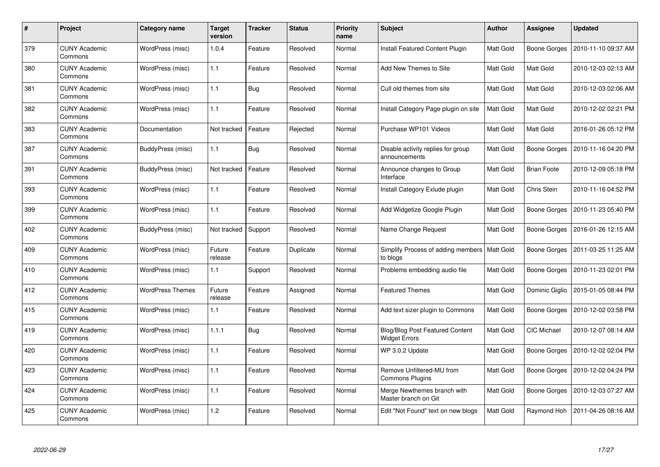| #   | Project                         | <b>Category name</b>    | Target<br>version | <b>Tracker</b> | <b>Status</b> | <b>Priority</b><br>name | <b>Subject</b>                                          | <b>Author</b> | Assignee            | <b>Updated</b>      |
|-----|---------------------------------|-------------------------|-------------------|----------------|---------------|-------------------------|---------------------------------------------------------|---------------|---------------------|---------------------|
| 379 | <b>CUNY Academic</b><br>Commons | WordPress (misc)        | 1.0.4             | Feature        | Resolved      | Normal                  | <b>Install Featured Content Plugin</b>                  | Matt Gold     | <b>Boone Gorges</b> | 2010-11-10 09:37 AM |
| 380 | <b>CUNY Academic</b><br>Commons | WordPress (misc)        | 1.1               | Feature        | Resolved      | Normal                  | Add New Themes to Site                                  | Matt Gold     | Matt Gold           | 2010-12-03 02:13 AM |
| 381 | <b>CUNY Academic</b><br>Commons | WordPress (misc)        | 1.1               | Bug            | Resolved      | Normal                  | Cull old themes from site                               | Matt Gold     | Matt Gold           | 2010-12-03 02:06 AM |
| 382 | <b>CUNY Academic</b><br>Commons | WordPress (misc)        | 1.1               | Feature        | Resolved      | Normal                  | Install Category Page plugin on site                    | Matt Gold     | Matt Gold           | 2010-12-02 02:21 PM |
| 383 | <b>CUNY Academic</b><br>Commons | Documentation           | Not tracked       | Feature        | Rejected      | Normal                  | Purchase WP101 Videos                                   | Matt Gold     | Matt Gold           | 2016-01-26 05:12 PM |
| 387 | <b>CUNY Academic</b><br>Commons | BuddyPress (misc)       | 1.1               | <b>Bug</b>     | Resolved      | Normal                  | Disable activity replies for group<br>announcements     | Matt Gold     | <b>Boone Gorges</b> | 2010-11-16 04:20 PM |
| 391 | <b>CUNY Academic</b><br>Commons | BuddyPress (misc)       | Not tracked       | Feature        | Resolved      | Normal                  | Announce changes to Group<br>Interface                  | Matt Gold     | <b>Brian Foote</b>  | 2010-12-09 05:18 PM |
| 393 | <b>CUNY Academic</b><br>Commons | WordPress (misc)        | 1.1               | Feature        | Resolved      | Normal                  | Install Category Exlude plugin                          | Matt Gold     | Chris Stein         | 2010-11-16 04:52 PM |
| 399 | <b>CUNY Academic</b><br>Commons | WordPress (misc)        | 1.1               | Feature        | Resolved      | Normal                  | Add Widgetize Google Plugin                             | Matt Gold     | Boone Gorges        | 2010-11-23 05:40 PM |
| 402 | <b>CUNY Academic</b><br>Commons | BuddyPress (misc)       | Not tracked       | Support        | Resolved      | Normal                  | Name Change Request                                     | Matt Gold     | <b>Boone Gorges</b> | 2016-01-26 12:15 AM |
| 409 | <b>CUNY Academic</b><br>Commons | WordPress (misc)        | Future<br>release | Feature        | Duplicate     | Normal                  | Simplify Process of adding members<br>to blogs          | Matt Gold     | Boone Gorges        | 2011-03-25 11:25 AM |
| 410 | <b>CUNY Academic</b><br>Commons | WordPress (misc)        | 1.1               | Support        | Resolved      | Normal                  | Problems embedding audio file                           | Matt Gold     | <b>Boone Gorges</b> | 2010-11-23 02:01 PM |
| 412 | <b>CUNY Academic</b><br>Commons | <b>WordPress Themes</b> | Future<br>release | Feature        | Assigned      | Normal                  | <b>Featured Themes</b>                                  | Matt Gold     | Dominic Giglio      | 2015-01-05 08:44 PM |
| 415 | <b>CUNY Academic</b><br>Commons | WordPress (misc)        | 1.1               | Feature        | Resolved      | Normal                  | Add text sizer plugin to Commons                        | Matt Gold     | Boone Gorges        | 2010-12-02 03:58 PM |
| 419 | <b>CUNY Academic</b><br>Commons | WordPress (misc)        | 1.1.1             | <b>Bug</b>     | Resolved      | Normal                  | Blog/Blog Post Featured Content<br><b>Widget Errors</b> | Matt Gold     | CIC Michael         | 2010-12-07 08:14 AM |
| 420 | <b>CUNY Academic</b><br>Commons | WordPress (misc)        | 1.1               | Feature        | Resolved      | Normal                  | WP 3.0.2 Update                                         | Matt Gold     | Boone Gorges        | 2010-12-02 02:04 PM |
| 423 | <b>CUNY Academic</b><br>Commons | WordPress (misc)        | 1.1               | Feature        | Resolved      | Normal                  | Remove Unfiltered-MU from<br><b>Commons Plugins</b>     | Matt Gold     | Boone Gorges        | 2010-12-02 04:24 PM |
| 424 | <b>CUNY Academic</b><br>Commons | WordPress (misc)        | 1.1               | Feature        | Resolved      | Normal                  | Merge Newthemes branch with<br>Master branch on Git     | Matt Gold     | Boone Gorges        | 2010-12-03 07:27 AM |
| 425 | CUNY Academic<br>Commons        | WordPress (misc)        | 1.2               | Feature        | Resolved      | Normal                  | Edit "Not Found" text on new blogs                      | Matt Gold     | Raymond Hoh         | 2011-04-26 08:16 AM |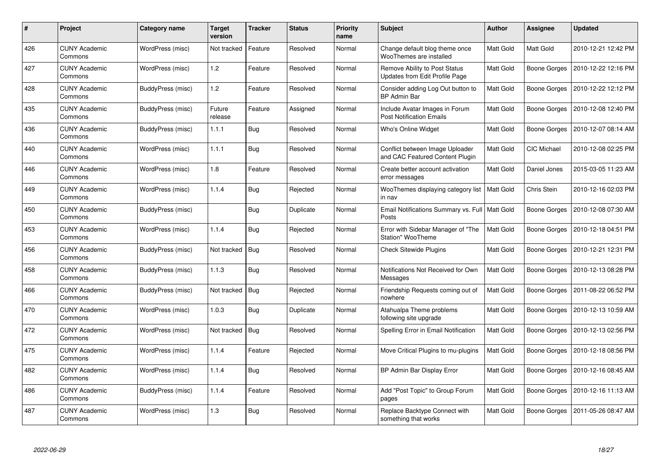| $\#$ | <b>Project</b>                  | Category name     | Target<br>version | <b>Tracker</b> | <b>Status</b> | <b>Priority</b><br>name | <b>Subject</b>                                                     | <b>Author</b>    | Assignee            | <b>Updated</b>      |
|------|---------------------------------|-------------------|-------------------|----------------|---------------|-------------------------|--------------------------------------------------------------------|------------------|---------------------|---------------------|
| 426  | <b>CUNY Academic</b><br>Commons | WordPress (misc)  | Not tracked       | Feature        | Resolved      | Normal                  | Change default blog theme once<br>WooThemes are installed          | <b>Matt Gold</b> | Matt Gold           | 2010-12-21 12:42 PM |
| 427  | <b>CUNY Academic</b><br>Commons | WordPress (misc)  | 1.2               | Feature        | Resolved      | Normal                  | Remove Ability to Post Status<br>Updates from Edit Profile Page    | <b>Matt Gold</b> | Boone Gorges        | 2010-12-22 12:16 PM |
| 428  | <b>CUNY Academic</b><br>Commons | BuddyPress (misc) | 1.2               | Feature        | Resolved      | Normal                  | Consider adding Log Out button to<br><b>BP Admin Bar</b>           | <b>Matt Gold</b> | <b>Boone Gorges</b> | 2010-12-22 12:12 PM |
| 435  | <b>CUNY Academic</b><br>Commons | BuddyPress (misc) | Future<br>release | Feature        | Assigned      | Normal                  | Include Avatar Images in Forum<br><b>Post Notification Emails</b>  | Matt Gold        | Boone Gorges        | 2010-12-08 12:40 PM |
| 436  | <b>CUNY Academic</b><br>Commons | BuddyPress (misc) | 1.1.1             | <b>Bug</b>     | Resolved      | Normal                  | Who's Online Widget                                                | <b>Matt Gold</b> | Boone Gorges        | 2010-12-07 08:14 AM |
| 440  | <b>CUNY Academic</b><br>Commons | WordPress (misc)  | 1.1.1             | <b>Bug</b>     | Resolved      | Normal                  | Conflict between Image Uploader<br>and CAC Featured Content Plugin | <b>Matt Gold</b> | <b>CIC Michael</b>  | 2010-12-08 02:25 PM |
| 446  | <b>CUNY Academic</b><br>Commons | WordPress (misc)  | 1.8               | Feature        | Resolved      | Normal                  | Create better account activation<br>error messages                 | Matt Gold        | Daniel Jones        | 2015-03-05 11:23 AM |
| 449  | <b>CUNY Academic</b><br>Commons | WordPress (misc)  | 1.1.4             | <b>Bug</b>     | Rejected      | Normal                  | WooThemes displaying category list<br>in nav                       | <b>Matt Gold</b> | <b>Chris Stein</b>  | 2010-12-16 02:03 PM |
| 450  | <b>CUNY Academic</b><br>Commons | BuddyPress (misc) |                   | Bug            | Duplicate     | Normal                  | Email Notifications Summary vs. Full   Matt Gold<br>Posts          |                  | Boone Gorges        | 2010-12-08 07:30 AM |
| 453  | <b>CUNY Academic</b><br>Commons | WordPress (misc)  | 1.1.4             | <b>Bug</b>     | Rejected      | Normal                  | Error with Sidebar Manager of "The<br>Station" WooTheme            | Matt Gold        | Boone Gorges        | 2010-12-18 04:51 PM |
| 456  | <b>CUNY Academic</b><br>Commons | BuddyPress (misc) | Not tracked       | Bug            | Resolved      | Normal                  | <b>Check Sitewide Plugins</b>                                      | Matt Gold        | Boone Gorges        | 2010-12-21 12:31 PM |
| 458  | <b>CUNY Academic</b><br>Commons | BuddyPress (misc) | 1.1.3             | <b>Bug</b>     | Resolved      | Normal                  | Notifications Not Received for Own<br>Messages                     | Matt Gold        | Boone Gorges        | 2010-12-13 08:28 PM |
| 466  | <b>CUNY Academic</b><br>Commons | BuddyPress (misc) | Not tracked       | Bug            | Rejected      | Normal                  | Friendship Requests coming out of<br>nowhere                       | Matt Gold        | Boone Gorges        | 2011-08-22 06:52 PM |
| 470  | <b>CUNY Academic</b><br>Commons | WordPress (misc)  | 1.0.3             | <b>Bug</b>     | Duplicate     | Normal                  | Atahualpa Theme problems<br>following site upgrade                 | Matt Gold        | Boone Gorges        | 2010-12-13 10:59 AM |
| 472  | <b>CUNY Academic</b><br>Commons | WordPress (misc)  | Not tracked       | Bug            | Resolved      | Normal                  | Spelling Error in Email Notification                               | Matt Gold        | Boone Gorges        | 2010-12-13 02:56 PM |
| 475  | <b>CUNY Academic</b><br>Commons | WordPress (misc)  | 1.1.4             | Feature        | Rejected      | Normal                  | Move Critical Plugins to mu-plugins                                | Matt Gold        | Boone Gorges        | 2010-12-18 08:56 PM |
| 482  | <b>CUNY Academic</b><br>Commons | WordPress (misc)  | 1.1.4             | <b>Bug</b>     | Resolved      | Normal                  | BP Admin Bar Display Error                                         | Matt Gold        | Boone Gorges        | 2010-12-16 08:45 AM |
| 486  | <b>CUNY Academic</b><br>Commons | BuddyPress (misc) | 1.1.4             | Feature        | Resolved      | Normal                  | Add "Post Topic" to Group Forum<br>pages                           | Matt Gold        | Boone Gorges        | 2010-12-16 11:13 AM |
| 487  | <b>CUNY Academic</b><br>Commons | WordPress (misc)  | 1.3               | Bug            | Resolved      | Normal                  | Replace Backtype Connect with<br>something that works              | <b>Matt Gold</b> | <b>Boone Gorges</b> | 2011-05-26 08:47 AM |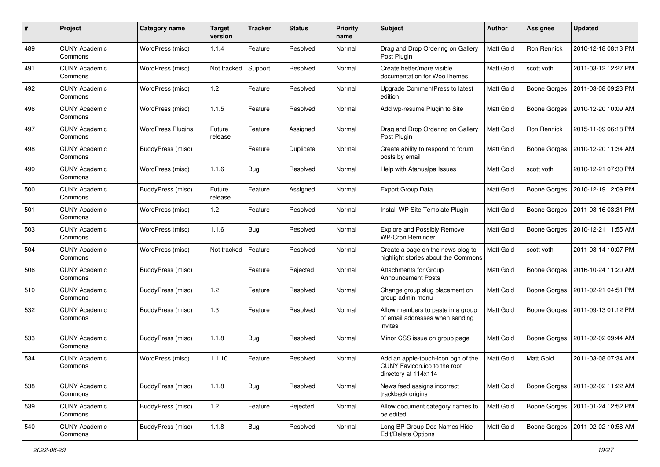| #   | Project                         | Category name            | <b>Target</b><br>version | <b>Tracker</b> | <b>Status</b> | <b>Priority</b><br>name | Subject                                                                                     | Author           | Assignee            | <b>Updated</b>                     |
|-----|---------------------------------|--------------------------|--------------------------|----------------|---------------|-------------------------|---------------------------------------------------------------------------------------------|------------------|---------------------|------------------------------------|
| 489 | <b>CUNY Academic</b><br>Commons | WordPress (misc)         | 1.1.4                    | Feature        | Resolved      | Normal                  | Drag and Drop Ordering on Gallery<br>Post Plugin                                            | Matt Gold        | Ron Rennick         | 2010-12-18 08:13 PM                |
| 491 | <b>CUNY Academic</b><br>Commons | WordPress (misc)         | Not tracked              | Support        | Resolved      | Normal                  | Create better/more visible<br>documentation for WooThemes                                   | <b>Matt Gold</b> | scott voth          | 2011-03-12 12:27 PM                |
| 492 | CUNY Academic<br>Commons        | WordPress (misc)         | 1.2                      | Feature        | Resolved      | Normal                  | Upgrade CommentPress to latest<br>edition                                                   | <b>Matt Gold</b> | <b>Boone Gorges</b> | 2011-03-08 09:23 PM                |
| 496 | <b>CUNY Academic</b><br>Commons | WordPress (misc)         | 1.1.5                    | Feature        | Resolved      | Normal                  | Add wp-resume Plugin to Site                                                                | <b>Matt Gold</b> | <b>Boone Gorges</b> | 2010-12-20 10:09 AM                |
| 497 | <b>CUNY Academic</b><br>Commons | <b>WordPress Plugins</b> | Future<br>release        | Feature        | Assigned      | Normal                  | Drag and Drop Ordering on Gallery<br>Post Plugin                                            | <b>Matt Gold</b> | Ron Rennick         | 2015-11-09 06:18 PM                |
| 498 | <b>CUNY Academic</b><br>Commons | BuddyPress (misc)        |                          | Feature        | Duplicate     | Normal                  | Create ability to respond to forum<br>posts by email                                        | Matt Gold        | <b>Boone Gorges</b> | 2010-12-20 11:34 AM                |
| 499 | <b>CUNY Academic</b><br>Commons | WordPress (misc)         | 1.1.6                    | Bug            | Resolved      | Normal                  | Help with Atahualpa Issues                                                                  | Matt Gold        | scott voth          | 2010-12-21 07:30 PM                |
| 500 | <b>CUNY Academic</b><br>Commons | BuddyPress (misc)        | Future<br>release        | Feature        | Assigned      | Normal                  | Export Group Data                                                                           | Matt Gold        | Boone Gorges        | 2010-12-19 12:09 PM                |
| 501 | <b>CUNY Academic</b><br>Commons | WordPress (misc)         | 1.2                      | Feature        | Resolved      | Normal                  | Install WP Site Template Plugin                                                             | Matt Gold        | Boone Gorges        | 2011-03-16 03:31 PM                |
| 503 | CUNY Academic<br>Commons        | WordPress (misc)         | 1.1.6                    | Bug            | Resolved      | Normal                  | <b>Explore and Possibly Remove</b><br><b>WP-Cron Reminder</b>                               | Matt Gold        | <b>Boone Gorges</b> | 2010-12-21 11:55 AM                |
| 504 | <b>CUNY Academic</b><br>Commons | WordPress (misc)         | Not tracked              | Feature        | Resolved      | Normal                  | Create a page on the news blog to<br>highlight stories about the Commons                    | Matt Gold        | scott voth          | 2011-03-14 10:07 PM                |
| 506 | <b>CUNY Academic</b><br>Commons | BuddyPress (misc)        |                          | Feature        | Rejected      | Normal                  | <b>Attachments for Group</b><br><b>Announcement Posts</b>                                   | <b>Matt Gold</b> | Boone Gorges        | 2016-10-24 11:20 AM                |
| 510 | <b>CUNY Academic</b><br>Commons | BuddyPress (misc)        | 1.2                      | Feature        | Resolved      | Normal                  | Change group slug placement on<br>group admin menu                                          | Matt Gold        | Boone Gorges        | 2011-02-21 04:51 PM                |
| 532 | <b>CUNY Academic</b><br>Commons | BuddyPress (misc)        | 1.3                      | Feature        | Resolved      | Normal                  | Allow members to paste in a group<br>of email addresses when sending<br>invites             | Matt Gold        | Boone Gorges        | 2011-09-13 01:12 PM                |
| 533 | <b>CUNY Academic</b><br>Commons | BuddyPress (misc)        | 1.1.8                    | Bug            | Resolved      | Normal                  | Minor CSS issue on group page                                                               | Matt Gold        | <b>Boone Gorges</b> | 2011-02-02 09:44 AM                |
| 534 | <b>CUNY Academic</b><br>Commons | WordPress (misc)         | 1.1.10                   | Feature        | Resolved      | Normal                  | Add an apple-touch-icon.pgn of the<br>CUNY Favicon. ico to the root<br>directory at 114x114 | <b>Matt Gold</b> | Matt Gold           | 2011-03-08 07:34 AM                |
| 538 | <b>CUNY Academic</b><br>Commons | BuddyPress (misc)        | 1.1.8                    | Bug            | Resolved      | Normal                  | News feed assigns incorrect<br>trackback origins                                            | Matt Gold        | Boone Gorges        | 2011-02-02 11:22 AM                |
| 539 | <b>CUNY Academic</b><br>Commons | BuddyPress (misc)        | 1.2                      | Feature        | Rejected      | Normal                  | Allow document category names to<br>be edited                                               | Matt Gold        | Boone Gorges        | 2011-01-24 12:52 PM                |
| 540 | <b>CUNY Academic</b><br>Commons | BuddyPress (misc)        | 1.1.8                    | <b>Bug</b>     | Resolved      | Normal                  | Long BP Group Doc Names Hide<br>Edit/Delete Options                                         | Matt Gold        |                     | Boone Gorges   2011-02-02 10:58 AM |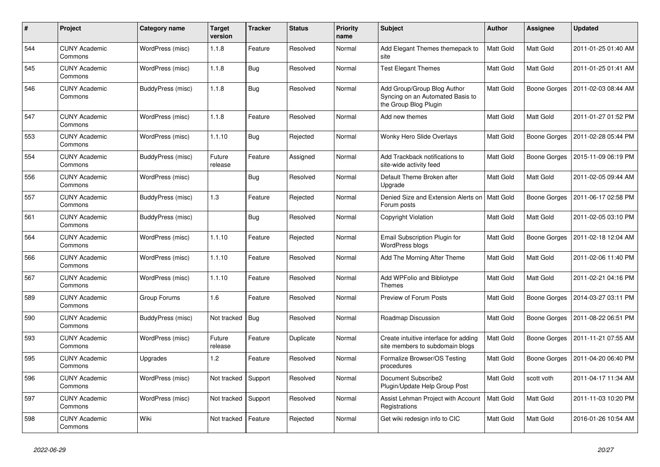| #   | Project                         | Category name     | <b>Target</b><br>version | <b>Tracker</b> | <b>Status</b> | <b>Priority</b><br>name | <b>Subject</b>                                                                           | <b>Author</b>    | <b>Assignee</b>     | <b>Updated</b>      |
|-----|---------------------------------|-------------------|--------------------------|----------------|---------------|-------------------------|------------------------------------------------------------------------------------------|------------------|---------------------|---------------------|
| 544 | <b>CUNY Academic</b><br>Commons | WordPress (misc)  | 1.1.8                    | Feature        | Resolved      | Normal                  | Add Elegant Themes themepack to<br>site                                                  | Matt Gold        | Matt Gold           | 2011-01-25 01:40 AM |
| 545 | <b>CUNY Academic</b><br>Commons | WordPress (misc)  | 1.1.8                    | <b>Bug</b>     | Resolved      | Normal                  | <b>Test Elegant Themes</b>                                                               | <b>Matt Gold</b> | Matt Gold           | 2011-01-25 01:41 AM |
| 546 | <b>CUNY Academic</b><br>Commons | BuddyPress (misc) | 1.1.8                    | <b>Bug</b>     | Resolved      | Normal                  | Add Group/Group Blog Author<br>Syncing on an Automated Basis to<br>the Group Blog Plugin | Matt Gold        | <b>Boone Gorges</b> | 2011-02-03 08:44 AM |
| 547 | <b>CUNY Academic</b><br>Commons | WordPress (misc)  | 1.1.8                    | Feature        | Resolved      | Normal                  | Add new themes                                                                           | Matt Gold        | Matt Gold           | 2011-01-27 01:52 PM |
| 553 | <b>CUNY Academic</b><br>Commons | WordPress (misc)  | 1.1.10                   | <b>Bug</b>     | Rejected      | Normal                  | Wonky Hero Slide Overlays                                                                | Matt Gold        | Boone Gorges        | 2011-02-28 05:44 PM |
| 554 | <b>CUNY Academic</b><br>Commons | BuddyPress (misc) | Future<br>release        | Feature        | Assigned      | Normal                  | Add Trackback notifications to<br>site-wide activity feed                                | Matt Gold        | Boone Gorges        | 2015-11-09 06:19 PM |
| 556 | <b>CUNY Academic</b><br>Commons | WordPress (misc)  |                          | Bug            | Resolved      | Normal                  | Default Theme Broken after<br>Upgrade                                                    | Matt Gold        | Matt Gold           | 2011-02-05 09:44 AM |
| 557 | <b>CUNY Academic</b><br>Commons | BuddyPress (misc) | 1.3                      | Feature        | Rejected      | Normal                  | Denied Size and Extension Alerts on<br>Forum posts                                       | Matt Gold        | Boone Gorges        | 2011-06-17 02:58 PM |
| 561 | <b>CUNY Academic</b><br>Commons | BuddyPress (misc) |                          | Bug            | Resolved      | Normal                  | Copyright Violation                                                                      | Matt Gold        | Matt Gold           | 2011-02-05 03:10 PM |
| 564 | <b>CUNY Academic</b><br>Commons | WordPress (misc)  | 1.1.10                   | Feature        | Rejected      | Normal                  | Email Subscription Plugin for<br><b>WordPress blogs</b>                                  | Matt Gold        | <b>Boone Gorges</b> | 2011-02-18 12:04 AM |
| 566 | <b>CUNY Academic</b><br>Commons | WordPress (misc)  | 1.1.10                   | Feature        | Resolved      | Normal                  | Add The Morning After Theme                                                              | Matt Gold        | Matt Gold           | 2011-02-06 11:40 PM |
| 567 | <b>CUNY Academic</b><br>Commons | WordPress (misc)  | 1.1.10                   | Feature        | Resolved      | Normal                  | Add WPFolio and Bibliotype<br><b>Themes</b>                                              | Matt Gold        | Matt Gold           | 2011-02-21 04:16 PM |
| 589 | <b>CUNY Academic</b><br>Commons | Group Forums      | 1.6                      | Feature        | Resolved      | Normal                  | Preview of Forum Posts                                                                   | Matt Gold        | Boone Gorges        | 2014-03-27 03:11 PM |
| 590 | <b>CUNY Academic</b><br>Commons | BuddyPress (misc) | Not tracked              | Bug            | Resolved      | Normal                  | Roadmap Discussion                                                                       | Matt Gold        | <b>Boone Gorges</b> | 2011-08-22 06:51 PM |
| 593 | <b>CUNY Academic</b><br>Commons | WordPress (misc)  | Future<br>release        | Feature        | Duplicate     | Normal                  | Create intuitive interface for adding<br>site members to subdomain blogs                 | Matt Gold        | <b>Boone Gorges</b> | 2011-11-21 07:55 AM |
| 595 | <b>CUNY Academic</b><br>Commons | Upgrades          | 1.2                      | Feature        | Resolved      | Normal                  | Formalize Browser/OS Testing<br>procedures                                               | Matt Gold        | Boone Gorges        | 2011-04-20 06:40 PM |
| 596 | <b>CUNY Academic</b><br>Commons | WordPress (misc)  | Not tracked              | Support        | Resolved      | Normal                  | Document Subscribe2<br>Plugin/Update Help Group Post                                     | Matt Gold        | scott voth          | 2011-04-17 11:34 AM |
| 597 | <b>CUNY Academic</b><br>Commons | WordPress (misc)  | Not tracked              | Support        | Resolved      | Normal                  | Assist Lehman Project with Account<br>Registrations                                      | <b>Matt Gold</b> | <b>Matt Gold</b>    | 2011-11-03 10:20 PM |
| 598 | <b>CUNY Academic</b><br>Commons | Wiki              | Not tracked              | Feature        | Rejected      | Normal                  | Get wiki redesign info to CIC                                                            | Matt Gold        | Matt Gold           | 2016-01-26 10:54 AM |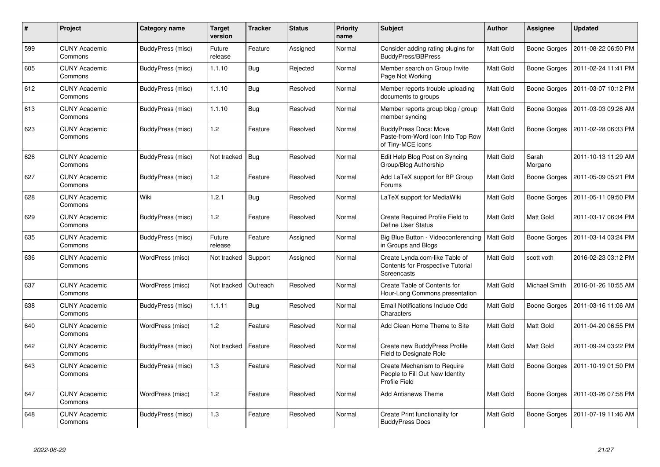| $\#$ | Project                         | Category name            | <b>Target</b><br>version | <b>Tracker</b> | <b>Status</b> | <b>Priority</b><br>name | <b>Subject</b>                                                                            | <b>Author</b> | Assignee            | <b>Updated</b>      |
|------|---------------------------------|--------------------------|--------------------------|----------------|---------------|-------------------------|-------------------------------------------------------------------------------------------|---------------|---------------------|---------------------|
| 599  | <b>CUNY Academic</b><br>Commons | BuddyPress (misc)        | Future<br>release        | Feature        | Assigned      | Normal                  | Consider adding rating plugins for<br>BuddyPress/BBPress                                  | Matt Gold     | Boone Gorges        | 2011-08-22 06:50 PM |
| 605  | <b>CUNY Academic</b><br>Commons | BuddyPress (misc)        | 1.1.10                   | Bug            | Rejected      | Normal                  | Member search on Group Invite<br>Page Not Working                                         | Matt Gold     | Boone Gorges        | 2011-02-24 11:41 PM |
| 612  | <b>CUNY Academic</b><br>Commons | BuddyPress (misc)        | 1.1.10                   | Bug            | Resolved      | Normal                  | Member reports trouble uploading<br>documents to groups                                   | Matt Gold     | Boone Gorges        | 2011-03-07 10:12 PM |
| 613  | <b>CUNY Academic</b><br>Commons | <b>BuddyPress (misc)</b> | 1.1.10                   | <b>Bug</b>     | Resolved      | Normal                  | Member reports group blog / group<br>member syncing                                       | Matt Gold     | Boone Gorges        | 2011-03-03 09:26 AM |
| 623  | <b>CUNY Academic</b><br>Commons | BuddyPress (misc)        | 1.2                      | Feature        | Resolved      | Normal                  | <b>BuddyPress Docs: Move</b><br>Paste-from-Word Icon Into Top Row<br>of Tiny-MCE icons    | Matt Gold     | <b>Boone Gorges</b> | 2011-02-28 06:33 PM |
| 626  | <b>CUNY Academic</b><br>Commons | BuddyPress (misc)        | Not tracked              | Bug            | Resolved      | Normal                  | Edit Help Blog Post on Syncing<br>Group/Blog Authorship                                   | Matt Gold     | Sarah<br>Morgano    | 2011-10-13 11:29 AM |
| 627  | <b>CUNY Academic</b><br>Commons | BuddyPress (misc)        | 1.2                      | Feature        | Resolved      | Normal                  | Add LaTeX support for BP Group<br>Forums                                                  | Matt Gold     | Boone Gorges        | 2011-05-09 05:21 PM |
| 628  | <b>CUNY Academic</b><br>Commons | Wiki                     | 1.2.1                    | Bug            | Resolved      | Normal                  | LaTeX support for MediaWiki                                                               | Matt Gold     | <b>Boone Gorges</b> | 2011-05-11 09:50 PM |
| 629  | <b>CUNY Academic</b><br>Commons | BuddyPress (misc)        | 1.2                      | Feature        | Resolved      | Normal                  | Create Required Profile Field to<br>Define User Status                                    | Matt Gold     | Matt Gold           | 2011-03-17 06:34 PM |
| 635  | <b>CUNY Academic</b><br>Commons | BuddyPress (misc)        | Future<br>release        | Feature        | Assigned      | Normal                  | Big Blue Button - Videoconferencing<br>in Groups and Blogs                                | Matt Gold     | <b>Boone Gorges</b> | 2011-03-14 03:24 PM |
| 636  | <b>CUNY Academic</b><br>Commons | WordPress (misc)         | Not tracked              | Support        | Assigned      | Normal                  | Create Lynda.com-like Table of<br><b>Contents for Prospective Tutorial</b><br>Screencasts | Matt Gold     | scott voth          | 2016-02-23 03:12 PM |
| 637  | <b>CUNY Academic</b><br>Commons | WordPress (misc)         | Not tracked              | Outreach       | Resolved      | Normal                  | Create Table of Contents for<br>Hour-Long Commons presentation                            | Matt Gold     | Michael Smith       | 2016-01-26 10:55 AM |
| 638  | <b>CUNY Academic</b><br>Commons | BuddyPress (misc)        | 1.1.11                   | Bug            | Resolved      | Normal                  | Email Notifications Include Odd<br>Characters                                             | Matt Gold     | Boone Gorges        | 2011-03-16 11:06 AM |
| 640  | <b>CUNY Academic</b><br>Commons | WordPress (misc)         | 1.2                      | Feature        | Resolved      | Normal                  | Add Clean Home Theme to Site                                                              | Matt Gold     | Matt Gold           | 2011-04-20 06:55 PM |
| 642  | <b>CUNY Academic</b><br>Commons | BuddyPress (misc)        | Not tracked              | Feature        | Resolved      | Normal                  | Create new BuddyPress Profile<br>Field to Designate Role                                  | Matt Gold     | Matt Gold           | 2011-09-24 03:22 PM |
| 643  | <b>CUNY Academic</b><br>Commons | BuddyPress (misc)        | 1.3                      | Feature        | Resolved      | Normal                  | Create Mechanism to Require<br>People to Fill Out New Identity<br>Profile Field           | Matt Gold     | Boone Gorges        | 2011-10-19 01:50 PM |
| 647  | <b>CUNY Academic</b><br>Commons | WordPress (misc)         | 1.2                      | Feature        | Resolved      | Normal                  | <b>Add Antisnews Theme</b>                                                                | Matt Gold     | Boone Gorges        | 2011-03-26 07:58 PM |
| 648  | <b>CUNY Academic</b><br>Commons | BuddyPress (misc)        | 1.3                      | Feature        | Resolved      | Normal                  | Create Print functionality for<br><b>BuddyPress Docs</b>                                  | Matt Gold     | Boone Gorges        | 2011-07-19 11:46 AM |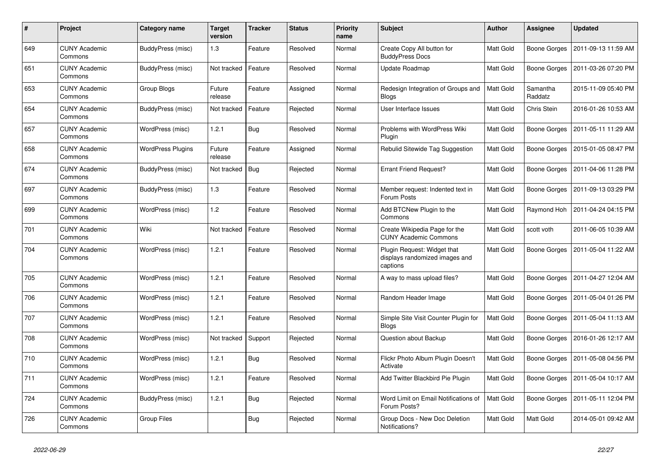| #   | Project                         | Category name            | <b>Target</b><br>version | <b>Tracker</b> | <b>Status</b> | <b>Priority</b><br>name | <b>Subject</b>                                                            | <b>Author</b> | Assignee            | <b>Updated</b>      |
|-----|---------------------------------|--------------------------|--------------------------|----------------|---------------|-------------------------|---------------------------------------------------------------------------|---------------|---------------------|---------------------|
| 649 | <b>CUNY Academic</b><br>Commons | BuddyPress (misc)        | 1.3                      | Feature        | Resolved      | Normal                  | Create Copy All button for<br><b>BuddyPress Docs</b>                      | Matt Gold     | <b>Boone Gorges</b> | 2011-09-13 11:59 AM |
| 651 | <b>CUNY Academic</b><br>Commons | BuddyPress (misc)        | Not tracked              | Feature        | Resolved      | Normal                  | Update Roadmap                                                            | Matt Gold     | <b>Boone Gorges</b> | 2011-03-26 07:20 PM |
| 653 | CUNY Academic<br>Commons        | Group Blogs              | Future<br>release        | Feature        | Assigned      | Normal                  | Redesign Integration of Groups and<br><b>Blogs</b>                        | Matt Gold     | Samantha<br>Raddatz | 2015-11-09 05:40 PM |
| 654 | <b>CUNY Academic</b><br>Commons | BuddyPress (misc)        | Not tracked              | Feature        | Rejected      | Normal                  | User Interface Issues                                                     | Matt Gold     | Chris Stein         | 2016-01-26 10:53 AM |
| 657 | <b>CUNY Academic</b><br>Commons | WordPress (misc)         | 1.2.1                    | <b>Bug</b>     | Resolved      | Normal                  | Problems with WordPress Wiki<br>Plugin                                    | Matt Gold     | Boone Gorges        | 2011-05-11 11:29 AM |
| 658 | <b>CUNY Academic</b><br>Commons | <b>WordPress Plugins</b> | Future<br>release        | Feature        | Assigned      | Normal                  | Rebulid Sitewide Tag Suggestion                                           | Matt Gold     | <b>Boone Gorges</b> | 2015-01-05 08:47 PM |
| 674 | <b>CUNY Academic</b><br>Commons | BuddyPress (misc)        | Not tracked              | Bug            | Rejected      | Normal                  | <b>Errant Friend Request?</b>                                             | Matt Gold     | Boone Gorges        | 2011-04-06 11:28 PM |
| 697 | <b>CUNY Academic</b><br>Commons | BuddyPress (misc)        | 1.3                      | Feature        | Resolved      | Normal                  | Member request: Indented text in<br>Forum Posts                           | Matt Gold     | Boone Gorges        | 2011-09-13 03:29 PM |
| 699 | <b>CUNY Academic</b><br>Commons | WordPress (misc)         | 1.2                      | Feature        | Resolved      | Normal                  | Add BTCNew Plugin to the<br>Commons                                       | Matt Gold     | Raymond Hoh         | 2011-04-24 04:15 PM |
| 701 | <b>CUNY Academic</b><br>Commons | Wiki                     | Not tracked              | Feature        | Resolved      | Normal                  | Create Wikipedia Page for the<br><b>CUNY Academic Commons</b>             | Matt Gold     | scott voth          | 2011-06-05 10:39 AM |
| 704 | <b>CUNY Academic</b><br>Commons | WordPress (misc)         | 1.2.1                    | Feature        | Resolved      | Normal                  | Plugin Request: Widget that<br>displays randomized images and<br>captions | Matt Gold     | <b>Boone Gorges</b> | 2011-05-04 11:22 AM |
| 705 | <b>CUNY Academic</b><br>Commons | WordPress (misc)         | 1.2.1                    | Feature        | Resolved      | Normal                  | A way to mass upload files?                                               | Matt Gold     | Boone Gorges        | 2011-04-27 12:04 AM |
| 706 | <b>CUNY Academic</b><br>Commons | WordPress (misc)         | 1.2.1                    | Feature        | Resolved      | Normal                  | Random Header Image                                                       | Matt Gold     | Boone Gorges        | 2011-05-04 01:26 PM |
| 707 | <b>CUNY Academic</b><br>Commons | WordPress (misc)         | 1.2.1                    | Feature        | Resolved      | Normal                  | Simple Site Visit Counter Plugin for<br><b>Blogs</b>                      | Matt Gold     | <b>Boone Gorges</b> | 2011-05-04 11:13 AM |
| 708 | <b>CUNY Academic</b><br>Commons | WordPress (misc)         | Not tracked              | Support        | Rejected      | Normal                  | Question about Backup                                                     | Matt Gold     | Boone Gorges        | 2016-01-26 12:17 AM |
| 710 | <b>CUNY Academic</b><br>Commons | WordPress (misc)         | 1.2.1                    | <b>Bug</b>     | Resolved      | Normal                  | Flickr Photo Album Plugin Doesn't<br>Activate                             | Matt Gold     | Boone Gorges        | 2011-05-08 04:56 PM |
| 711 | <b>CUNY Academic</b><br>Commons | WordPress (misc)         | 1.2.1                    | Feature        | Resolved      | Normal                  | Add Twitter Blackbird Pie Plugin                                          | Matt Gold     | Boone Gorges        | 2011-05-04 10:17 AM |
| 724 | <b>CUNY Academic</b><br>Commons | BuddyPress (misc)        | 1.2.1                    | <b>Bug</b>     | Rejected      | Normal                  | Word Limit on Email Notifications of<br>Forum Posts?                      | Matt Gold     | Boone Gorges        | 2011-05-11 12:04 PM |
| 726 | <b>CUNY Academic</b><br>Commons | Group Files              |                          | Bug            | Rejected      | Normal                  | Group Docs - New Doc Deletion<br>Notifications?                           | Matt Gold     | Matt Gold           | 2014-05-01 09:42 AM |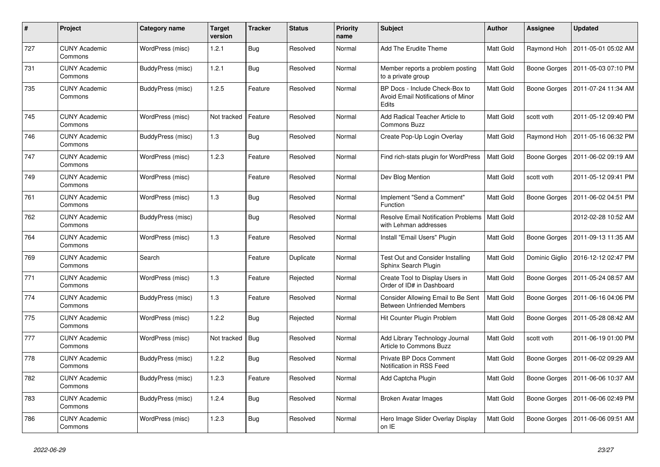| $\#$ | Project                         | Category name            | <b>Target</b><br>version | <b>Tracker</b> | <b>Status</b> | Priority<br>name | <b>Subject</b>                                                                       | <b>Author</b>    | <b>Assignee</b> | <b>Updated</b>      |
|------|---------------------------------|--------------------------|--------------------------|----------------|---------------|------------------|--------------------------------------------------------------------------------------|------------------|-----------------|---------------------|
| 727  | <b>CUNY Academic</b><br>Commons | WordPress (misc)         | 1.2.1                    | <b>Bug</b>     | Resolved      | Normal           | Add The Erudite Theme                                                                | <b>Matt Gold</b> | Raymond Hoh     | 2011-05-01 05:02 AM |
| 731  | <b>CUNY Academic</b><br>Commons | BuddyPress (misc)        | 1.2.1                    | <b>Bug</b>     | Resolved      | Normal           | Member reports a problem posting<br>to a private group                               | Matt Gold        | Boone Gorges    | 2011-05-03 07:10 PM |
| 735  | <b>CUNY Academic</b><br>Commons | BuddyPress (misc)        | 1.2.5                    | Feature        | Resolved      | Normal           | BP Docs - Include Check-Box to<br><b>Avoid Email Notifications of Minor</b><br>Edits | Matt Gold        | Boone Gorges    | 2011-07-24 11:34 AM |
| 745  | <b>CUNY Academic</b><br>Commons | WordPress (misc)         | Not tracked              | Feature        | Resolved      | Normal           | Add Radical Teacher Article to<br><b>Commons Buzz</b>                                | <b>Matt Gold</b> | scott voth      | 2011-05-12 09:40 PM |
| 746  | <b>CUNY Academic</b><br>Commons | BuddyPress (misc)        | 1.3                      | Bug            | Resolved      | Normal           | Create Pop-Up Login Overlay                                                          | Matt Gold        | Raymond Hoh     | 2011-05-16 06:32 PM |
| 747  | <b>CUNY Academic</b><br>Commons | WordPress (misc)         | 1.2.3                    | Feature        | Resolved      | Normal           | Find rich-stats plugin for WordPress                                                 | Matt Gold        | Boone Gorges    | 2011-06-02 09:19 AM |
| 749  | <b>CUNY Academic</b><br>Commons | WordPress (misc)         |                          | Feature        | Resolved      | Normal           | Dev Blog Mention                                                                     | <b>Matt Gold</b> | scott voth      | 2011-05-12 09:41 PM |
| 761  | <b>CUNY Academic</b><br>Commons | WordPress (misc)         | 1.3                      | <b>Bug</b>     | Resolved      | Normal           | Implement "Send a Comment"<br>Function                                               | Matt Gold        | Boone Gorges    | 2011-06-02 04:51 PM |
| 762  | <b>CUNY Academic</b><br>Commons | BuddyPress (misc)        |                          | <b>Bug</b>     | Resolved      | Normal           | <b>Resolve Email Notification Problems</b><br>with Lehman addresses                  | Matt Gold        |                 | 2012-02-28 10:52 AM |
| 764  | <b>CUNY Academic</b><br>Commons | WordPress (misc)         | 1.3                      | Feature        | Resolved      | Normal           | Install "Email Users" Plugin                                                         | Matt Gold        | Boone Gorges    | 2011-09-13 11:35 AM |
| 769  | <b>CUNY Academic</b><br>Commons | Search                   |                          | Feature        | Duplicate     | Normal           | Test Out and Consider Installing<br>Sphinx Search Plugin                             | Matt Gold        | Dominic Giglio  | 2016-12-12 02:47 PM |
| 771  | <b>CUNY Academic</b><br>Commons | WordPress (misc)         | 1.3                      | Feature        | Rejected      | Normal           | Create Tool to Display Users in<br>Order of ID# in Dashboard                         | Matt Gold        | Boone Gorges    | 2011-05-24 08:57 AM |
| 774  | <b>CUNY Academic</b><br>Commons | <b>BuddyPress (misc)</b> | $1.3$                    | Feature        | Resolved      | Normal           | Consider Allowing Email to Be Sent<br><b>Between Unfriended Members</b>              | Matt Gold        | Boone Gorges    | 2011-06-16 04:06 PM |
| 775  | <b>CUNY Academic</b><br>Commons | WordPress (misc)         | 1.2.2                    | <b>Bug</b>     | Rejected      | Normal           | Hit Counter Plugin Problem                                                           | Matt Gold        | Boone Gorges    | 2011-05-28 08:42 AM |
| 777  | <b>CUNY Academic</b><br>Commons | WordPress (misc)         | Not tracked              | Bug            | Resolved      | Normal           | Add Library Technology Journal<br>Article to Commons Buzz                            | Matt Gold        | scott voth      | 2011-06-19 01:00 PM |
| 778  | <b>CUNY Academic</b><br>Commons | <b>BuddyPress (misc)</b> | 1.2.2                    | <b>Bug</b>     | Resolved      | Normal           | Private BP Docs Comment<br>Notification in RSS Feed                                  | Matt Gold        | Boone Gorges    | 2011-06-02 09:29 AM |
| 782  | <b>CUNY Academic</b><br>Commons | BuddyPress (misc)        | 1.2.3                    | Feature        | Resolved      | Normal           | Add Captcha Plugin                                                                   | Matt Gold        | Boone Gorges    | 2011-06-06 10:37 AM |
| 783  | <b>CUNY Academic</b><br>Commons | BuddyPress (misc)        | 1.2.4                    | <b>Bug</b>     | Resolved      | Normal           | Broken Avatar Images                                                                 | Matt Gold        | Boone Gorges    | 2011-06-06 02:49 PM |
| 786  | <b>CUNY Academic</b><br>Commons | WordPress (misc)         | 1.2.3                    | <b>Bug</b>     | Resolved      | Normal           | Hero Image Slider Overlay Display<br>on IE                                           | Matt Gold        | Boone Gorges    | 2011-06-06 09:51 AM |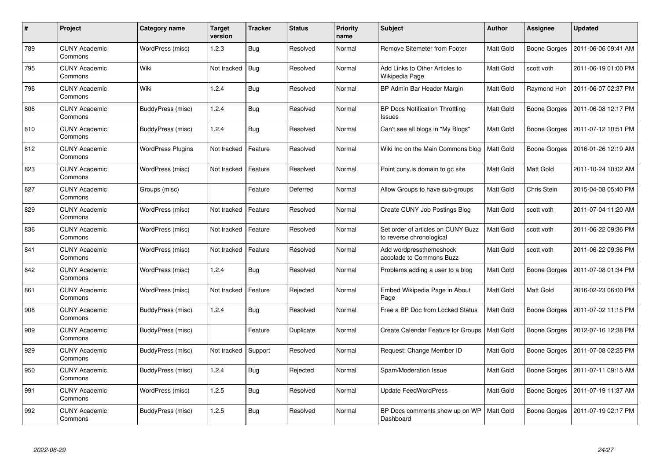| $\#$ | <b>Project</b>                  | Category name            | <b>Target</b><br>version | <b>Tracker</b> | <b>Status</b> | <b>Priority</b><br>name | <b>Subject</b>                                                 | <b>Author</b>    | Assignee            | <b>Updated</b>      |
|------|---------------------------------|--------------------------|--------------------------|----------------|---------------|-------------------------|----------------------------------------------------------------|------------------|---------------------|---------------------|
| 789  | <b>CUNY Academic</b><br>Commons | WordPress (misc)         | 1.2.3                    | <b>Bug</b>     | Resolved      | Normal                  | Remove Sitemeter from Footer                                   | Matt Gold        | <b>Boone Gorges</b> | 2011-06-06 09:41 AM |
| 795  | <b>CUNY Academic</b><br>Commons | Wiki                     | Not tracked              | <b>Bug</b>     | Resolved      | Normal                  | Add Links to Other Articles to<br>Wikipedia Page               | <b>Matt Gold</b> | scott voth          | 2011-06-19 01:00 PM |
| 796  | <b>CUNY Academic</b><br>Commons | Wiki                     | 1.2.4                    | <b>Bug</b>     | Resolved      | Normal                  | BP Admin Bar Header Margin                                     | Matt Gold        | Raymond Hoh         | 2011-06-07 02:37 PM |
| 806  | <b>CUNY Academic</b><br>Commons | BuddyPress (misc)        | 1.2.4                    | <b>Bug</b>     | Resolved      | Normal                  | <b>BP Docs Notification Throttling</b><br>Issues               | Matt Gold        | Boone Gorges        | 2011-06-08 12:17 PM |
| 810  | <b>CUNY Academic</b><br>Commons | BuddyPress (misc)        | 1.2.4                    | Bug            | Resolved      | Normal                  | Can't see all blogs in "My Blogs"                              | Matt Gold        | Boone Gorges        | 2011-07-12 10:51 PM |
| 812  | <b>CUNY Academic</b><br>Commons | <b>WordPress Plugins</b> | Not tracked              | Feature        | Resolved      | Normal                  | Wiki Inc on the Main Commons blog                              | <b>Matt Gold</b> | Boone Gorges        | 2016-01-26 12:19 AM |
| 823  | <b>CUNY Academic</b><br>Commons | WordPress (misc)         | Not tracked              | Feature        | Resolved      | Normal                  | Point cuny is domain to go site                                | Matt Gold        | Matt Gold           | 2011-10-24 10:02 AM |
| 827  | <b>CUNY Academic</b><br>Commons | Groups (misc)            |                          | Feature        | Deferred      | Normal                  | Allow Groups to have sub-groups                                | Matt Gold        | Chris Stein         | 2015-04-08 05:40 PM |
| 829  | <b>CUNY Academic</b><br>Commons | WordPress (misc)         | Not tracked              | Feature        | Resolved      | Normal                  | Create CUNY Job Postings Blog                                  | Matt Gold        | scott voth          | 2011-07-04 11:20 AM |
| 836  | <b>CUNY Academic</b><br>Commons | WordPress (misc)         | Not tracked              | Feature        | Resolved      | Normal                  | Set order of articles on CUNY Buzz<br>to reverse chronological | <b>Matt Gold</b> | scott voth          | 2011-06-22 09:36 PM |
| 841  | <b>CUNY Academic</b><br>Commons | WordPress (misc)         | Not tracked              | Feature        | Resolved      | Normal                  | Add wordpressthemeshock<br>accolade to Commons Buzz            | Matt Gold        | scott voth          | 2011-06-22 09:36 PM |
| 842  | <b>CUNY Academic</b><br>Commons | WordPress (misc)         | 1.2.4                    | <b>Bug</b>     | Resolved      | Normal                  | Problems adding a user to a blog                               | Matt Gold        | <b>Boone Gorges</b> | 2011-07-08 01:34 PM |
| 861  | <b>CUNY Academic</b><br>Commons | WordPress (misc)         | Not tracked              | Feature        | Rejected      | Normal                  | Embed Wikipedia Page in About<br>Page                          | Matt Gold        | Matt Gold           | 2016-02-23 06:00 PM |
| 908  | <b>CUNY Academic</b><br>Commons | BuddyPress (misc)        | 1.2.4                    | <b>Bug</b>     | Resolved      | Normal                  | Free a BP Doc from Locked Status                               | Matt Gold        | Boone Gorges        | 2011-07-02 11:15 PM |
| 909  | <b>CUNY Academic</b><br>Commons | BuddyPress (misc)        |                          | Feature        | Duplicate     | Normal                  | Create Calendar Feature for Groups                             | Matt Gold        | Boone Gorges        | 2012-07-16 12:38 PM |
| 929  | <b>CUNY Academic</b><br>Commons | <b>BuddyPress (misc)</b> | Not tracked              | Support        | Resolved      | Normal                  | Request: Change Member ID                                      | Matt Gold        | Boone Gorges        | 2011-07-08 02:25 PM |
| 950  | <b>CUNY Academic</b><br>Commons | BuddyPress (misc)        | 1.2.4                    | <b>Bug</b>     | Rejected      | Normal                  | Spam/Moderation Issue                                          | Matt Gold        | Boone Gorges        | 2011-07-11 09:15 AM |
| 991  | <b>CUNY Academic</b><br>Commons | WordPress (misc)         | 1.2.5                    | <b>Bug</b>     | Resolved      | Normal                  | <b>Update FeedWordPress</b>                                    | Matt Gold        | Boone Gorges        | 2011-07-19 11:37 AM |
| 992  | <b>CUNY Academic</b><br>Commons | BuddyPress (misc)        | 1.2.5                    | <b>Bug</b>     | Resolved      | Normal                  | BP Docs comments show up on WP<br>Dashboard                    | Matt Gold        | <b>Boone Gorges</b> | 2011-07-19 02:17 PM |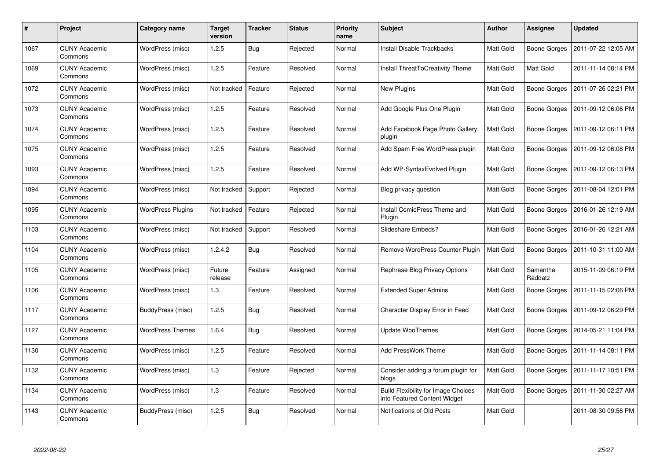| #    | Project                         | Category name            | Target<br>version | <b>Tracker</b> | <b>Status</b> | <b>Priority</b><br>name | <b>Subject</b>                                                             | <b>Author</b> | Assignee            | <b>Updated</b>      |
|------|---------------------------------|--------------------------|-------------------|----------------|---------------|-------------------------|----------------------------------------------------------------------------|---------------|---------------------|---------------------|
| 1067 | <b>CUNY Academic</b><br>Commons | WordPress (misc)         | 1.2.5             | Bug            | Rejected      | Normal                  | <b>Install Disable Trackbacks</b>                                          | Matt Gold     | <b>Boone Gorges</b> | 2011-07-22 12:05 AM |
| 1069 | <b>CUNY Academic</b><br>Commons | WordPress (misc)         | 1.2.5             | Feature        | Resolved      | Normal                  | Install ThreatToCreativity Theme                                           | Matt Gold     | Matt Gold           | 2011-11-14 08:14 PM |
| 1072 | <b>CUNY Academic</b><br>Commons | WordPress (misc)         | Not tracked       | Feature        | Rejected      | Normal                  | New Plugins                                                                | Matt Gold     | Boone Gorges        | 2011-07-26 02:21 PM |
| 1073 | <b>CUNY Academic</b><br>Commons | WordPress (misc)         | 1.2.5             | Feature        | Resolved      | Normal                  | Add Google Plus One Plugin                                                 | Matt Gold     | <b>Boone Gorges</b> | 2011-09-12 06:06 PM |
| 1074 | <b>CUNY Academic</b><br>Commons | WordPress (misc)         | 1.2.5             | Feature        | Resolved      | Normal                  | Add Facebook Page Photo Gallery<br>plugin                                  | Matt Gold     | Boone Gorges        | 2011-09-12 06:11 PM |
| 1075 | <b>CUNY Academic</b><br>Commons | WordPress (misc)         | 1.2.5             | Feature        | Resolved      | Normal                  | Add Spam Free WordPress plugin                                             | Matt Gold     | Boone Gorges        | 2011-09-12 06:08 PM |
| 1093 | <b>CUNY Academic</b><br>Commons | WordPress (misc)         | 1.2.5             | Feature        | Resolved      | Normal                  | Add WP-SyntaxEvolved Plugin                                                | Matt Gold     | <b>Boone Gorges</b> | 2011-09-12 06:13 PM |
| 1094 | <b>CUNY Academic</b><br>Commons | WordPress (misc)         | Not tracked       | Support        | Rejected      | Normal                  | Blog privacy question                                                      | Matt Gold     | <b>Boone Gorges</b> | 2011-08-04 12:01 PM |
| 1095 | <b>CUNY Academic</b><br>Commons | <b>WordPress Plugins</b> | Not tracked       | Feature        | Rejected      | Normal                  | Install ComicPress Theme and<br>Plugin                                     | Matt Gold     | Boone Gorges        | 2016-01-26 12:19 AM |
| 1103 | <b>CUNY Academic</b><br>Commons | WordPress (misc)         | Not tracked       | Support        | Resolved      | Normal                  | Slideshare Embeds?                                                         | Matt Gold     | Boone Gorges        | 2016-01-26 12:21 AM |
| 1104 | <b>CUNY Academic</b><br>Commons | WordPress (misc)         | 1.2.4.2           | <b>Bug</b>     | Resolved      | Normal                  | Remove WordPress Counter Plugin                                            | Matt Gold     | <b>Boone Gorges</b> | 2011-10-31 11:00 AM |
| 1105 | <b>CUNY Academic</b><br>Commons | WordPress (misc)         | Future<br>release | Feature        | Assigned      | Normal                  | Rephrase Blog Privacy Options                                              | Matt Gold     | Samantha<br>Raddatz | 2015-11-09 06:19 PM |
| 1106 | <b>CUNY Academic</b><br>Commons | WordPress (misc)         | 1.3               | Feature        | Resolved      | Normal                  | <b>Extended Super Admins</b>                                               | Matt Gold     | Boone Gorges        | 2011-11-15 02:06 PM |
| 1117 | <b>CUNY Academic</b><br>Commons | BuddyPress (misc)        | 1.2.5             | <b>Bug</b>     | Resolved      | Normal                  | Character Display Error in Feed                                            | Matt Gold     | Boone Gorges        | 2011-09-12 06:29 PM |
| 1127 | <b>CUNY Academic</b><br>Commons | <b>WordPress Themes</b>  | 1.6.4             | Bug            | Resolved      | Normal                  | <b>Update WooThemes</b>                                                    | Matt Gold     | Boone Gorges        | 2014-05-21 11:04 PM |
| 1130 | <b>CUNY Academic</b><br>Commons | WordPress (misc)         | 1.2.5             | Feature        | Resolved      | Normal                  | <b>Add PressWork Theme</b>                                                 | Matt Gold     | Boone Gorges        | 2011-11-14 08:11 PM |
| 1132 | <b>CUNY Academic</b><br>Commons | WordPress (misc)         | 1.3               | Feature        | Rejected      | Normal                  | Consider adding a forum plugin for<br>blogs                                | Matt Gold     | Boone Gorges        | 2011-11-17 10:51 PM |
| 1134 | <b>CUNY Academic</b><br>Commons | WordPress (misc)         | 1.3               | Feature        | Resolved      | Normal                  | <b>Build Flexibility for Image Choices</b><br>into Featured Content Widget | Matt Gold     | Boone Gorges        | 2011-11-30 02:27 AM |
| 1143 | CUNY Academic<br>Commons        | BuddyPress (misc)        | 1.2.5             | <b>Bug</b>     | Resolved      | Normal                  | Notifications of Old Posts                                                 | Matt Gold     |                     | 2011-08-30 09:56 PM |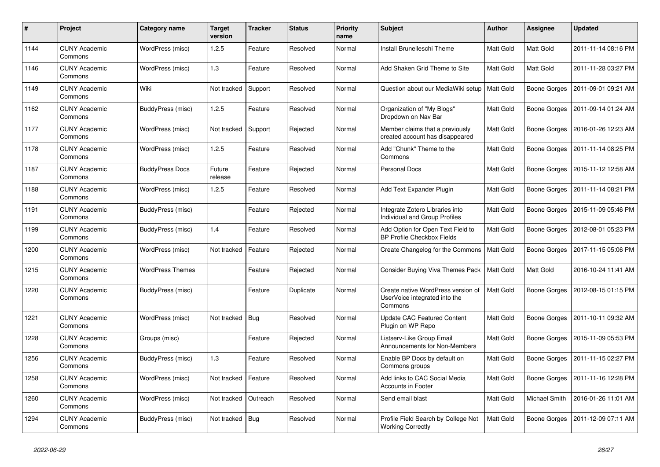| #    | Project                         | <b>Category name</b>    | <b>Target</b><br>version | <b>Tracker</b> | <b>Status</b> | <b>Priority</b><br>name | <b>Subject</b>                                                                 | <b>Author</b>    | <b>Assignee</b>  | <b>Updated</b>      |
|------|---------------------------------|-------------------------|--------------------------|----------------|---------------|-------------------------|--------------------------------------------------------------------------------|------------------|------------------|---------------------|
| 1144 | <b>CUNY Academic</b><br>Commons | WordPress (misc)        | 1.2.5                    | Feature        | Resolved      | Normal                  | Install Brunelleschi Theme                                                     | Matt Gold        | <b>Matt Gold</b> | 2011-11-14 08:16 PM |
| 1146 | <b>CUNY Academic</b><br>Commons | WordPress (misc)        | 1.3                      | Feature        | Resolved      | Normal                  | Add Shaken Grid Theme to Site                                                  | <b>Matt Gold</b> | Matt Gold        | 2011-11-28 03:27 PM |
| 1149 | <b>CUNY Academic</b><br>Commons | Wiki                    | Not tracked              | Support        | Resolved      | Normal                  | Question about our MediaWiki setup                                             | Matt Gold        | Boone Gorges     | 2011-09-01 09:21 AM |
| 1162 | <b>CUNY Academic</b><br>Commons | BuddyPress (misc)       | 1.2.5                    | Feature        | Resolved      | Normal                  | Organization of "My Blogs"<br>Dropdown on Nav Bar                              | Matt Gold        | Boone Gorges     | 2011-09-14 01:24 AM |
| 1177 | <b>CUNY Academic</b><br>Commons | WordPress (misc)        | Not tracked              | Support        | Rejected      | Normal                  | Member claims that a previously<br>created account has disappeared             | Matt Gold        | Boone Gorges     | 2016-01-26 12:23 AM |
| 1178 | <b>CUNY Academic</b><br>Commons | WordPress (misc)        | 1.2.5                    | Feature        | Resolved      | Normal                  | Add "Chunk" Theme to the<br>Commons                                            | Matt Gold        | Boone Gorges     | 2011-11-14 08:25 PM |
| 1187 | <b>CUNY Academic</b><br>Commons | <b>BuddyPress Docs</b>  | Future<br>release        | Feature        | Rejected      | Normal                  | <b>Personal Docs</b>                                                           | Matt Gold        | Boone Gorges     | 2015-11-12 12:58 AM |
| 1188 | <b>CUNY Academic</b><br>Commons | WordPress (misc)        | 1.2.5                    | Feature        | Resolved      | Normal                  | Add Text Expander Plugin                                                       | Matt Gold        | Boone Gorges     | 2011-11-14 08:21 PM |
| 1191 | <b>CUNY Academic</b><br>Commons | BuddyPress (misc)       |                          | Feature        | Rejected      | Normal                  | Integrate Zotero Libraries into<br>Individual and Group Profiles               | Matt Gold        | Boone Gorges     | 2015-11-09 05:46 PM |
| 1199 | <b>CUNY Academic</b><br>Commons | BuddyPress (misc)       | 1.4                      | Feature        | Resolved      | Normal                  | Add Option for Open Text Field to<br><b>BP Profile Checkbox Fields</b>         | Matt Gold        | Boone Gorges     | 2012-08-01 05:23 PM |
| 1200 | <b>CUNY Academic</b><br>Commons | WordPress (misc)        | Not tracked              | Feature        | Rejected      | Normal                  | Create Changelog for the Commons                                               | <b>Matt Gold</b> | Boone Gorges     | 2017-11-15 05:06 PM |
| 1215 | <b>CUNY Academic</b><br>Commons | <b>WordPress Themes</b> |                          | Feature        | Rejected      | Normal                  | Consider Buying Viva Themes Pack                                               | Matt Gold        | <b>Matt Gold</b> | 2016-10-24 11:41 AM |
| 1220 | <b>CUNY Academic</b><br>Commons | BuddyPress (misc)       |                          | Feature        | Duplicate     | Normal                  | Create native WordPress version of<br>UserVoice integrated into the<br>Commons | Matt Gold        | Boone Gorges     | 2012-08-15 01:15 PM |
| 1221 | <b>CUNY Academic</b><br>Commons | WordPress (misc)        | Not tracked              | Bug            | Resolved      | Normal                  | <b>Update CAC Featured Content</b><br>Plugin on WP Repo                        | <b>Matt Gold</b> | Boone Gorges     | 2011-10-11 09:32 AM |
| 1228 | <b>CUNY Academic</b><br>Commons | Groups (misc)           |                          | Feature        | Rejected      | Normal                  | Listserv-Like Group Email<br>Announcements for Non-Members                     | Matt Gold        | Boone Gorges     | 2015-11-09 05:53 PM |
| 1256 | <b>CUNY Academic</b><br>Commons | BuddyPress (misc)       | 1.3                      | Feature        | Resolved      | Normal                  | Enable BP Docs by default on<br>Commons groups                                 | Matt Gold        | Boone Gorges     | 2011-11-15 02:27 PM |
| 1258 | <b>CUNY Academic</b><br>Commons | WordPress (misc)        | Not tracked              | Feature        | Resolved      | Normal                  | Add links to CAC Social Media<br><b>Accounts in Footer</b>                     | Matt Gold        | Boone Gorges     | 2011-11-16 12:28 PM |
| 1260 | <b>CUNY Academic</b><br>Commons | WordPress (misc)        | Not tracked              | Outreach       | Resolved      | Normal                  | Send email blast                                                               | Matt Gold        | Michael Smith    | 2016-01-26 11:01 AM |
| 1294 | <b>CUNY Academic</b><br>Commons | BuddyPress (misc)       | Not tracked              | Bug            | Resolved      | Normal                  | Profile Field Search by College Not<br><b>Working Correctly</b>                | Matt Gold        | Boone Gorges     | 2011-12-09 07:11 AM |